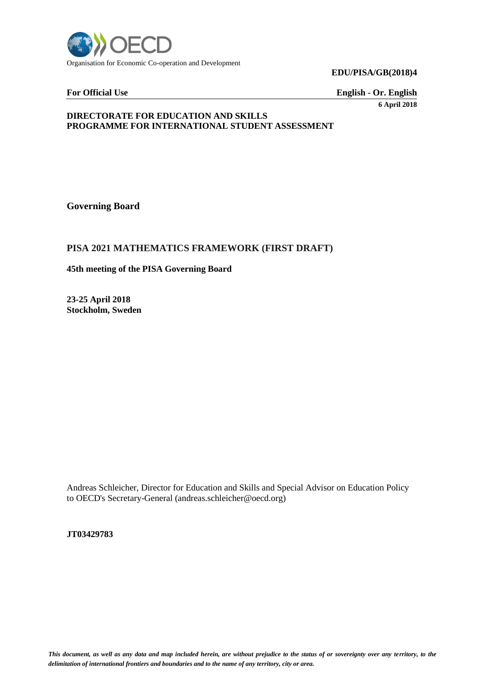

**EDU/PISA/GB(2018)4**

**For Official Use English - Or. English**

**6 April 2018**

#### **DIRECTORATE FOR EDUCATION AND SKILLS PROGRAMME FOR INTERNATIONAL STUDENT ASSESSMENT**

**Governing Board**

### **PISA 2021 MATHEMATICS FRAMEWORK (FIRST DRAFT)**

**45th meeting of the PISA Governing Board**

**23-25 April 2018 Stockholm, Sweden**

Andreas Schleicher, Director for Education and Skills and Special Advisor on Education Policy to OECD's Secretary-General (andreas.schleicher@oecd.org)

**JT03429783**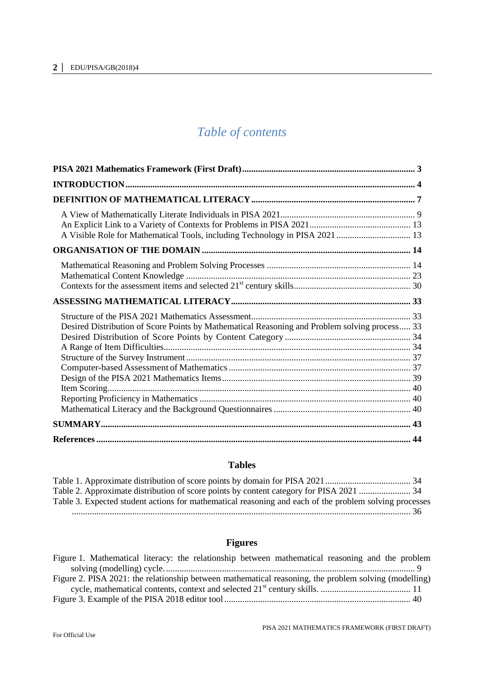## *Table of contents*

| A Visible Role for Mathematical Tools, including Technology in PISA 2021  13                  |  |
|-----------------------------------------------------------------------------------------------|--|
|                                                                                               |  |
|                                                                                               |  |
|                                                                                               |  |
| Desired Distribution of Score Points by Mathematical Reasoning and Problem solving process 33 |  |
|                                                                                               |  |
|                                                                                               |  |

### **Tables**

| Table 2. Approximate distribution of score points by content category for PISA 2021  34                |  |
|--------------------------------------------------------------------------------------------------------|--|
| Table 3. Expected student actions for mathematical reasoning and each of the problem solving processes |  |
|                                                                                                        |  |

## **Figures**

| Figure 1. Mathematical literacy: the relationship between mathematical reasoning and the problem      |  |
|-------------------------------------------------------------------------------------------------------|--|
|                                                                                                       |  |
| Figure 2. PISA 2021: the relationship between mathematical reasoning, the problem solving (modelling) |  |
|                                                                                                       |  |
|                                                                                                       |  |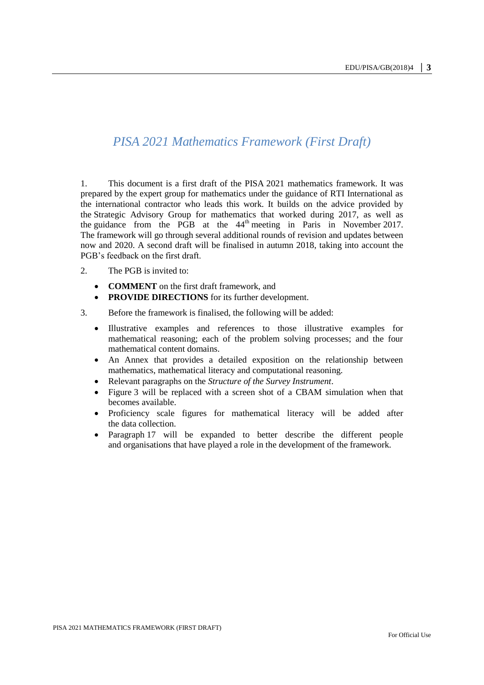## <span id="page-2-0"></span>*PISA 2021 Mathematics Framework (First Draft)*

1. This document is a first draft of the PISA 2021 mathematics framework. It was prepared by the expert group for mathematics under the guidance of RTI International as the international contractor who leads this work. It builds on the advice provided by the Strategic Advisory Group for mathematics that worked during 2017, as well as the guidance from the PGB at the  $44<sup>th</sup>$  meeting in Paris in November 2017. The framework will go through several additional rounds of revision and updates between now and 2020. A second draft will be finalised in autumn 2018, taking into account the PGB's feedback on the first draft.

- 2. The PGB is invited to:
	- **COMMENT** on the first draft framework, and
	- **PROVIDE DIRECTIONS** for its further development.
- 3. Before the framework is finalised, the following will be added:
	- Illustrative examples and references to those illustrative examples for mathematical reasoning; each of the problem solving processes; and the four mathematical content domains.
	- An Annex that provides a detailed exposition on the relationship between mathematics, mathematical literacy and computational reasoning.
	- Relevant paragraphs on the *Structure of the Survey Instrument*.
	- Figure 3 will be replaced with a screen shot of a CBAM simulation when that becomes available.
	- Proficiency scale figures for mathematical literacy will be added after the data collection.
	- Paragraph 17 will be expanded to better describe the different people and organisations that have played a role in the development of the framework.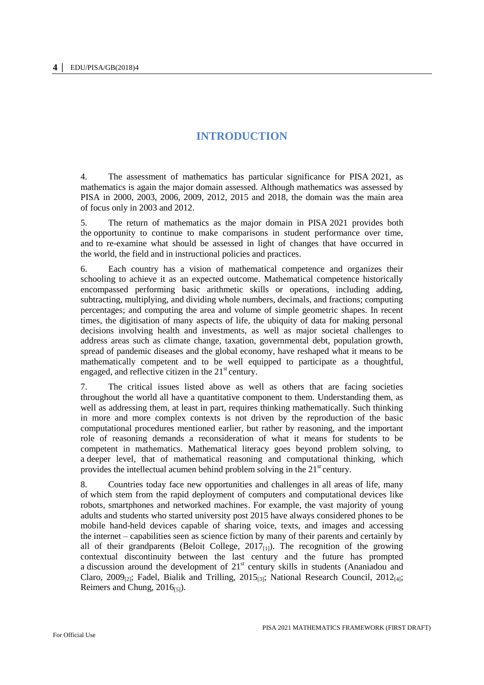## **INTRODUCTION**

<span id="page-3-0"></span>4. The assessment of mathematics has particular significance for PISA 2021, as mathematics is again the major domain assessed. Although mathematics was assessed by PISA in 2000, 2003, 2006, 2009, 2012, 2015 and 2018, the domain was the main area of focus only in 2003 and 2012.

5. The return of mathematics as the major domain in PISA 2021 provides both the opportunity to continue to make comparisons in student performance over time, and to re-examine what should be assessed in light of changes that have occurred in the world, the field and in instructional policies and practices.

6. Each country has a vision of mathematical competence and organizes their schooling to achieve it as an expected outcome. Mathematical competence historically encompassed performing basic arithmetic skills or operations, including adding, subtracting, multiplying, and dividing whole numbers, decimals, and fractions; computing percentages; and computing the area and volume of simple geometric shapes. In recent times, the digitisation of many aspects of life, the ubiquity of data for making personal decisions involving health and investments, as well as major societal challenges to address areas such as climate change, taxation, governmental debt, population growth, spread of pandemic diseases and the global economy, have reshaped what it means to be mathematically competent and to be well equipped to participate as a thoughtful, engaged, and reflective citizen in the  $21<sup>st</sup>$  century.

7. The critical issues listed above as well as others that are facing societies throughout the world all have a quantitative component to them. Understanding them, as well as addressing them, at least in part, requires thinking mathematically. Such thinking in more and more complex contexts is not driven by the reproduction of the basic computational procedures mentioned earlier, but rather by reasoning, and the important role of reasoning demands a reconsideration of what it means for students to be competent in mathematics. Mathematical literacy goes beyond problem solving, to a deeper level, that of mathematical reasoning and computational thinking, which provides the intellectual acumen behind problem solving in the  $21<sup>st</sup>$  century.

8. Countries today face new opportunities and challenges in all areas of life, many of which stem from the rapid deployment of computers and computational devices like robots, smartphones and networked machines. For example, the vast majority of young adults and students who started university post 2015 have always considered phones to be mobile hand-held devices capable of sharing voice, texts, and images and accessing the internet – capabilities seen as science fiction by many of their parents and certainly by all of their grandparents (Beloit College,  $2017<sub>[1]</sub>$ ). The recognition of the growing contextual discontinuity between the last century and the future has prompted a discussion around the development of 21<sup>st</sup> century skills in students (Ananiadou and Claro, 2009<sub>[2]</sub>; Fadel, Bialik and Trilling, 2015<sub>[3]</sub>; National Research Council, 2012<sub>[4]</sub>; Reimers and Chung,  $2016_{[5]}$ .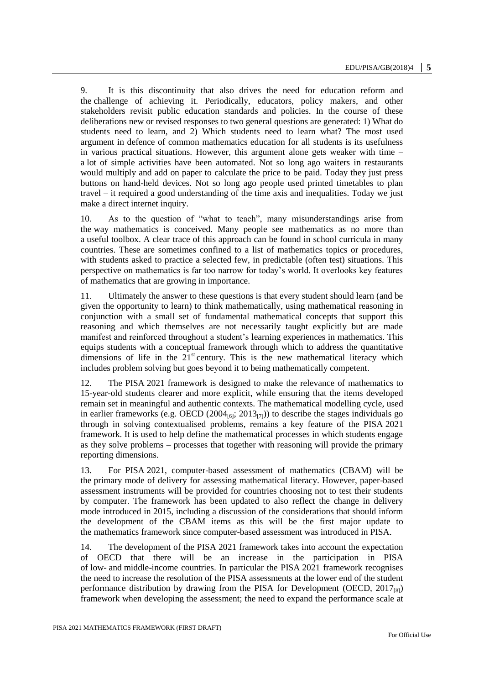9. It is this discontinuity that also drives the need for education reform and the challenge of achieving it. Periodically, educators, policy makers, and other stakeholders revisit public education standards and policies. In the course of these deliberations new or revised responses to two general questions are generated: 1) What do students need to learn, and 2) Which students need to learn what? The most used argument in defence of common mathematics education for all students is its usefulness in various practical situations. However, this argument alone gets weaker with time – a lot of simple activities have been automated. Not so long ago waiters in restaurants would multiply and add on paper to calculate the price to be paid. Today they just press buttons on hand-held devices. Not so long ago people used printed timetables to plan travel – it required a good understanding of the time axis and inequalities. Today we just make a direct internet inquiry.

10. As to the question of "what to teach", many misunderstandings arise from the way mathematics is conceived. Many people see mathematics as no more than a useful toolbox. A clear trace of this approach can be found in school curricula in many countries. These are sometimes confined to a list of mathematics topics or procedures, with students asked to practice a selected few, in predictable (often test) situations. This perspective on mathematics is far too narrow for today's world. It overlooks key features of mathematics that are growing in importance.

11. Ultimately the answer to these questions is that every student should learn (and be given the opportunity to learn) to think mathematically, using mathematical reasoning in conjunction with a small set of fundamental mathematical concepts that support this reasoning and which themselves are not necessarily taught explicitly but are made manifest and reinforced throughout a student's learning experiences in mathematics. This equips students with a conceptual framework through which to address the quantitative dimensions of life in the  $21<sup>st</sup>$  century. This is the new mathematical literacy which includes problem solving but goes beyond it to being mathematically competent.

12. The PISA 2021 framework is designed to make the relevance of mathematics to 15-year-old students clearer and more explicit, while ensuring that the items developed remain set in meaningful and authentic contexts. The mathematical modelling cycle, used in earlier frameworks (e.g. OECD  $(2004_{[6]}; 2013_{[7]})$ ) to describe the stages individuals go through in solving contextualised problems, remains a key feature of the PISA 2021 framework. It is used to help define the mathematical processes in which students engage as they solve problems – processes that together with reasoning will provide the primary reporting dimensions.

13. For PISA 2021, computer-based assessment of mathematics (CBAM) will be the primary mode of delivery for assessing mathematical literacy. However, paper-based assessment instruments will be provided for countries choosing not to test their students by computer. The framework has been updated to also reflect the change in delivery mode introduced in 2015, including a discussion of the considerations that should inform the development of the CBAM items as this will be the first major update to the mathematics framework since computer-based assessment was introduced in PISA.

14. The development of the PISA 2021 framework takes into account the expectation of OECD that there will be an increase in the participation in PISA of low- and middle-income countries. In particular the PISA 2021 framework recognises the need to increase the resolution of the PISA assessments at the lower end of the student performance distribution by drawing from the PISA for Development (OECD,  $2017_{[8]}$ ) framework when developing the assessment; the need to expand the performance scale at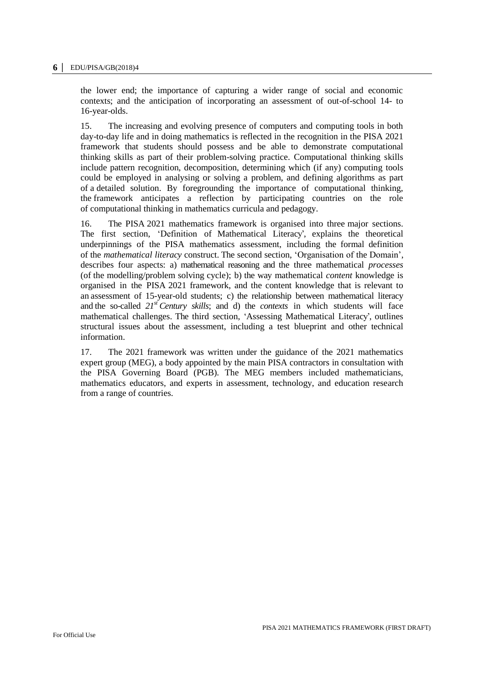the lower end; the importance of capturing a wider range of social and economic contexts; and the anticipation of incorporating an assessment of out-of-school 14- to 16-year-olds.

15. The increasing and evolving presence of computers and computing tools in both day-to-day life and in doing mathematics is reflected in the recognition in the PISA 2021 framework that students should possess and be able to demonstrate computational thinking skills as part of their problem-solving practice. Computational thinking skills include pattern recognition, decomposition, determining which (if any) computing tools could be employed in analysing or solving a problem, and defining algorithms as part of a detailed solution. By foregrounding the importance of computational thinking, the framework anticipates a reflection by participating countries on the role of computational thinking in mathematics curricula and pedagogy.

16. The PISA 2021 mathematics framework is organised into three major sections. The first section, 'Definition of Mathematical Literacy', explains the theoretical underpinnings of the PISA mathematics assessment, including the formal definition of the *mathematical literacy* construct. The second section, 'Organisation of the Domain', describes four aspects: a) mathematical reasoning and the three mathematical *processes* (of the modelling/problem solving cycle); b) the way mathematical *content* knowledge is organised in the PISA 2021 framework, and the content knowledge that is relevant to an assessment of 15-year-old students; c) the relationship between mathematical literacy and the so-called *21st Century skills*; and d) the *contexts* in which students will face mathematical challenges. The third section, 'Assessing Mathematical Literacy', outlines structural issues about the assessment, including a test blueprint and other technical information.

17. The 2021 framework was written under the guidance of the 2021 mathematics expert group (MEG), a body appointed by the main PISA contractors in consultation with the PISA Governing Board (PGB). The MEG members included mathematicians, mathematics educators, and experts in assessment, technology, and education research from a range of countries.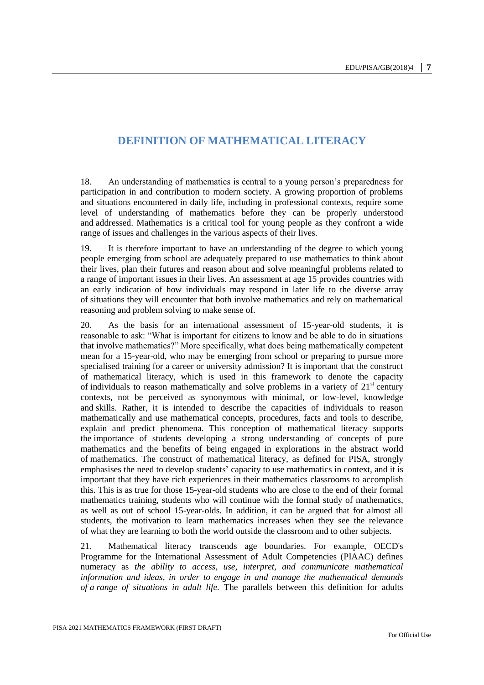## <span id="page-6-0"></span>**DEFINITION OF MATHEMATICAL LITERACY**

18. An understanding of mathematics is central to a young person's preparedness for participation in and contribution to modern society. A growing proportion of problems and situations encountered in daily life, including in professional contexts, require some level of understanding of mathematics before they can be properly understood and addressed. Mathematics is a critical tool for young people as they confront a wide range of issues and challenges in the various aspects of their lives.

19. It is therefore important to have an understanding of the degree to which young people emerging from school are adequately prepared to use mathematics to think about their lives, plan their futures and reason about and solve meaningful problems related to a range of important issues in their lives. An assessment at age 15 provides countries with an early indication of how individuals may respond in later life to the diverse array of situations they will encounter that both involve mathematics and rely on mathematical reasoning and problem solving to make sense of.

20. As the basis for an international assessment of 15-year-old students, it is reasonable to ask: "What is important for citizens to know and be able to do in situations that involve mathematics?" More specifically, what does being mathematically competent mean for a 15-year-old, who may be emerging from school or preparing to pursue more specialised training for a career or university admission? It is important that the construct of mathematical literacy, which is used in this framework to denote the capacity of individuals to reason mathematically and solve problems in a variety of  $21<sup>st</sup>$  century contexts, not be perceived as synonymous with minimal, or low-level, knowledge and skills. Rather, it is intended to describe the capacities of individuals to reason mathematically and use mathematical concepts, procedures, facts and tools to describe, explain and predict phenomena. This conception of mathematical literacy supports the importance of students developing a strong understanding of concepts of pure mathematics and the benefits of being engaged in explorations in the abstract world of mathematics. The construct of mathematical literacy, as defined for PISA, strongly emphasises the need to develop students' capacity to use mathematics in context, and it is important that they have rich experiences in their mathematics classrooms to accomplish this. This is as true for those 15-year-old students who are close to the end of their formal mathematics training, students who will continue with the formal study of mathematics, as well as out of school 15-year-olds. In addition, it can be argued that for almost all students, the motivation to learn mathematics increases when they see the relevance of what they are learning to both the world outside the classroom and to other subjects.

21. Mathematical literacy transcends age boundaries. For example, OECD's Programme for the International Assessment of Adult Competencies (PIAAC) defines numeracy as *the ability to access, use, interpret, and communicate mathematical information and ideas, in order to engage in and manage the mathematical demands of a range of situations in adult life.* The parallels between this definition for adults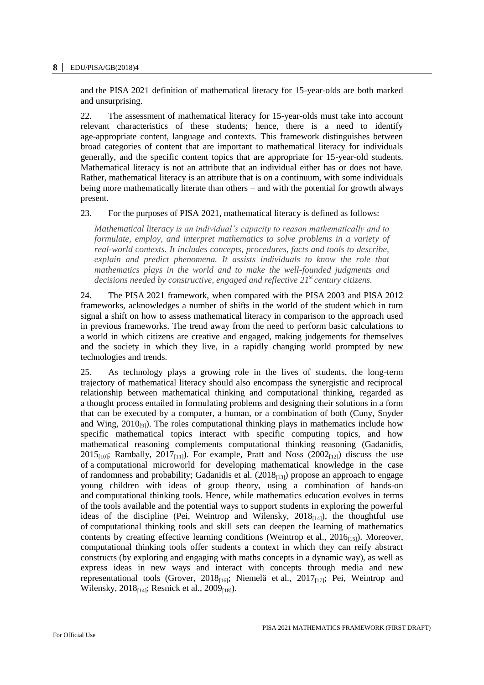and the PISA 2021 definition of mathematical literacy for 15-year-olds are both marked and unsurprising.

22. The assessment of mathematical literacy for 15-year-olds must take into account relevant characteristics of these students; hence, there is a need to identify age-appropriate content, language and contexts. This framework distinguishes between broad categories of content that are important to mathematical literacy for individuals generally, and the specific content topics that are appropriate for 15-year-old students. Mathematical literacy is not an attribute that an individual either has or does not have. Rather, mathematical literacy is an attribute that is on a continuum, with some individuals being more mathematically literate than others – and with the potential for growth always present.

23. For the purposes of PISA 2021, mathematical literacy is defined as follows:

*Mathematical literacy is an individual's capacity to reason mathematically and to formulate, employ, and interpret mathematics to solve problems in a variety of real-world contexts. It includes concepts, procedures, facts and tools to describe, explain and predict phenomena. It assists individuals to know the role that mathematics plays in the world and to make the well-founded judgments and decisions needed by constructive, engaged and reflective 21st century citizens.*

24. The PISA 2021 framework, when compared with the PISA 2003 and PISA 2012 frameworks, acknowledges a number of shifts in the world of the student which in turn signal a shift on how to assess mathematical literacy in comparison to the approach used in previous frameworks. The trend away from the need to perform basic calculations to a world in which citizens are creative and engaged, making judgements for themselves and the society in which they live, in a rapidly changing world prompted by new technologies and trends.

25. As technology plays a growing role in the lives of students, the long-term trajectory of mathematical literacy should also encompass the synergistic and reciprocal relationship between mathematical thinking and computational thinking, regarded as a thought process entailed in formulating problems and designing their solutions in a form that can be executed by a computer, a human, or a combination of both (Cuny, Snyder and Wing,  $2010_{[9]}$ ). The roles computational thinking plays in mathematics include how specific mathematical topics interact with specific computing topics, and how mathematical reasoning complements computational thinking reasoning (Gadanidis, 2015<sub>[10]</sub>; Rambally, 2017<sub>[11]</sub>). For example, Pratt and Noss (2002<sub>[12]</sub>) discuss the use of a computational microworld for developing mathematical knowledge in the case of randomness and probability; Gadanidis et al.  $(2018<sub>[13]</sub>)$  propose an approach to engage young children with ideas of group theory, using a combination of hands-on and computational thinking tools. Hence, while mathematics education evolves in terms of the tools available and the potential ways to support students in exploring the powerful ideas of the discipline (Pei, Weintrop and Wilensky,  $2018_{[14]}$ ), the thoughtful use of computational thinking tools and skill sets can deepen the learning of mathematics contents by creating effective learning conditions (Weintrop et al.,  $2016_{[15]}$ ). Moreover, computational thinking tools offer students a context in which they can reify abstract constructs (by exploring and engaging with maths concepts in a dynamic way), as well as express ideas in new ways and interact with concepts through media and new representational tools (Grover, 2018 $_{[16]}$ ; Niemelä et al., 2017 $_{[17]}$ ; Pei, Weintrop and Wilensky,  $2018_{114}$ ; Resnick et al.,  $2009_{118}$ ).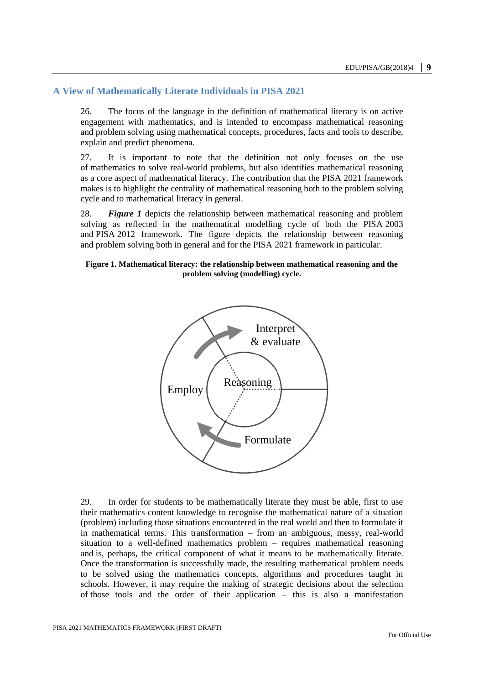#### <span id="page-8-0"></span>**A View of Mathematically Literate Individuals in PISA 2021**

26. The focus of the language in the definition of mathematical literacy is on active engagement with mathematics, and is intended to encompass mathematical reasoning and problem solving using mathematical concepts, procedures, facts and tools to describe, explain and predict phenomena.

27. It is important to note that the definition not only focuses on the use of mathematics to solve real-world problems, but also identifies mathematical reasoning as a core aspect of mathematical literacy. The contribution that the PISA 2021 framework makes is to highlight the centrality of mathematical reasoning both to the problem solving cycle and to mathematical literacy in general.

28. *Figure 1* depicts the relationship between mathematical reasoning and problem solving as reflected in the mathematical modelling cycle of both the PISA 2003 and PISA 2012 framework. The figure depicts the relationship between reasoning and problem solving both in general and for the PISA 2021 framework in particular.

#### <span id="page-8-1"></span>**Figure 1. Mathematical literacy: the relationship between mathematical reasoning and the problem solving (modelling) cycle.**



29. In order for students to be mathematically literate they must be able, first to use their mathematics content knowledge to recognise the mathematical nature of a situation (problem) including those situations encountered in the real world and then to formulate it in mathematical terms. This transformation – from an ambiguous, messy, real-world situation to a well-defined mathematics problem – requires mathematical reasoning and is, perhaps, the critical component of what it means to be mathematically literate. Once the transformation is successfully made, the resulting mathematical problem needs to be solved using the mathematics concepts, algorithms and procedures taught in schools. However, it may require the making of strategic decisions about the selection of those tools and the order of their application – this is also a manifestation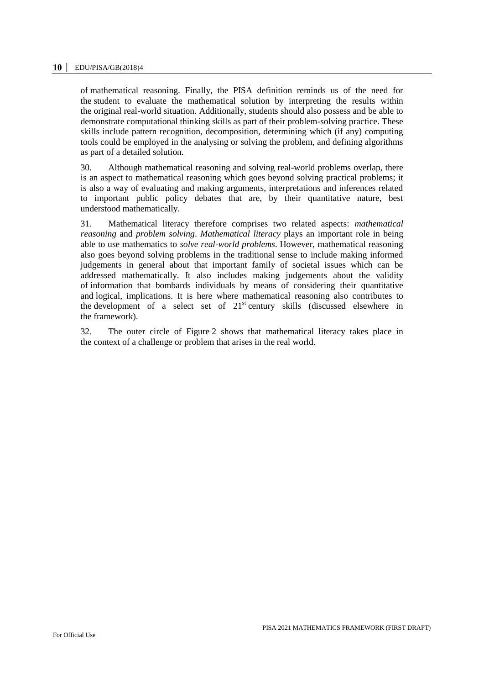of mathematical reasoning. Finally, the PISA definition reminds us of the need for the student to evaluate the mathematical solution by interpreting the results within the original real-world situation. Additionally, students should also possess and be able to demonstrate computational thinking skills as part of their problem-solving practice. These skills include pattern recognition, decomposition, determining which (if any) computing tools could be employed in the analysing or solving the problem, and defining algorithms as part of a detailed solution.

30. Although mathematical reasoning and solving real-world problems overlap, there is an aspect to mathematical reasoning which goes beyond solving practical problems; it is also a way of evaluating and making arguments, interpretations and inferences related to important public policy debates that are, by their quantitative nature, best understood mathematically.

31. Mathematical literacy therefore comprises two related aspects: *mathematical reasoning* and *problem solving*. *Mathematical literacy* plays an important role in being able to use mathematics to *solve real-world problems*. However, mathematical reasoning also goes beyond solving problems in the traditional sense to include making informed judgements in general about that important family of societal issues which can be addressed mathematically. It also includes making judgements about the validity of information that bombards individuals by means of considering their quantitative and logical, implications. It is here where mathematical reasoning also contributes to the development of a select set of 21st century skills (discussed elsewhere in the framework).

32. The outer circle of Figure 2 shows that mathematical literacy takes place in the context of a challenge or problem that arises in the real world.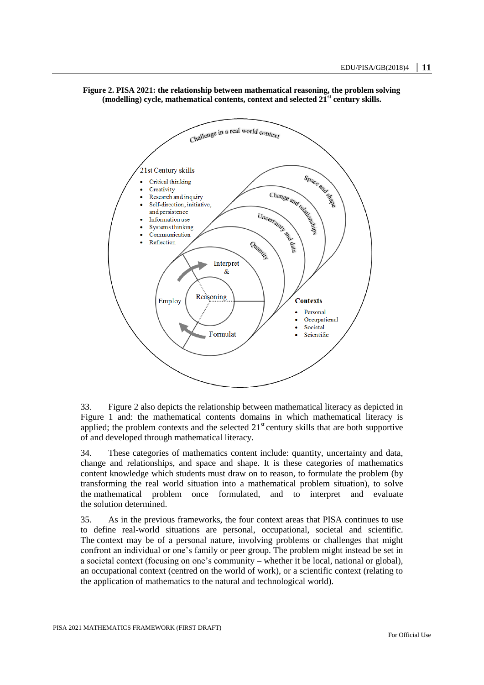

<span id="page-10-0"></span>

33. Figure 2 also depicts the relationship between mathematical literacy as depicted in Figure 1 and: the mathematical contents domains in which mathematical literacy is applied; the problem contexts and the selected  $21<sup>st</sup>$  century skills that are both supportive of and developed through mathematical literacy.

34. These categories of mathematics content include: quantity, uncertainty and data, change and relationships, and space and shape. It is these categories of mathematics content knowledge which students must draw on to reason, to formulate the problem (by transforming the real world situation into a mathematical problem situation), to solve the mathematical problem once formulated, and to interpret and evaluate the solution determined.

35. As in the previous frameworks, the four context areas that PISA continues to use to define real-world situations are personal, occupational, societal and scientific. The context may be of a personal nature, involving problems or challenges that might confront an individual or one's family or peer group. The problem might instead be set in a societal context (focusing on one's community – whether it be local, national or global), an occupational context (centred on the world of work), or a scientific context (relating to the application of mathematics to the natural and technological world).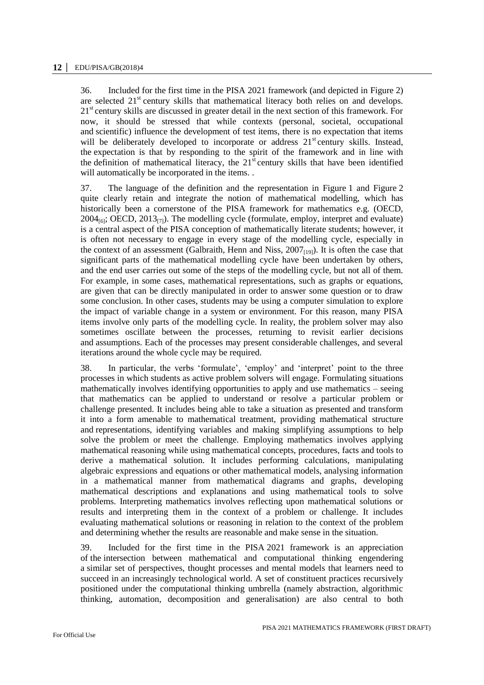36. Included for the first time in the PISA 2021 framework (and depicted in Figure 2) are selected  $21<sup>st</sup>$  century skills that mathematical literacy both relies on and develops. 21<sup>st</sup> century skills are discussed in greater detail in the next section of this framework. For now, it should be stressed that while contexts (personal, societal, occupational and scientific) influence the development of test items, there is no expectation that items will be deliberately developed to incorporate or address 21<sup>st</sup> century skills. Instead, the expectation is that by responding to the spirit of the framework and in line with the definition of mathematical literacy, the  $21<sup>st</sup>$  century skills that have been identified will automatically be incorporated in the items. .

37. The language of the definition and the representation in Figure 1 and Figure 2 quite clearly retain and integrate the notion of mathematical modelling, which has historically been a cornerstone of the PISA framework for mathematics e.g. (OECD,  $2004_{16}$ ; OECD,  $2013_{17}$ ). The modelling cycle (formulate, employ, interpret and evaluate) is a central aspect of the PISA conception of mathematically literate students; however, it is often not necessary to engage in every stage of the modelling cycle, especially in the context of an assessment (Galbraith, Henn and Niss,  $2007_{19}$ ). It is often the case that significant parts of the mathematical modelling cycle have been undertaken by others, and the end user carries out some of the steps of the modelling cycle, but not all of them. For example, in some cases, mathematical representations, such as graphs or equations, are given that can be directly manipulated in order to answer some question or to draw some conclusion. In other cases, students may be using a computer simulation to explore the impact of variable change in a system or environment. For this reason, many PISA items involve only parts of the modelling cycle. In reality, the problem solver may also sometimes oscillate between the processes, returning to revisit earlier decisions and assumptions. Each of the processes may present considerable challenges, and several iterations around the whole cycle may be required.

38. In particular, the verbs 'formulate', 'employ' and 'interpret' point to the three processes in which students as active problem solvers will engage. Formulating situations mathematically involves identifying opportunities to apply and use mathematics – seeing that mathematics can be applied to understand or resolve a particular problem or challenge presented. It includes being able to take a situation as presented and transform it into a form amenable to mathematical treatment, providing mathematical structure and representations, identifying variables and making simplifying assumptions to help solve the problem or meet the challenge. Employing mathematics involves applying mathematical reasoning while using mathematical concepts, procedures, facts and tools to derive a mathematical solution. It includes performing calculations, manipulating algebraic expressions and equations or other mathematical models, analysing information in a mathematical manner from mathematical diagrams and graphs, developing mathematical descriptions and explanations and using mathematical tools to solve problems. Interpreting mathematics involves reflecting upon mathematical solutions or results and interpreting them in the context of a problem or challenge. It includes evaluating mathematical solutions or reasoning in relation to the context of the problem and determining whether the results are reasonable and make sense in the situation.

39. Included for the first time in the PISA 2021 framework is an appreciation of the intersection between mathematical and computational thinking engendering a similar set of perspectives, thought processes and mental models that learners need to succeed in an increasingly technological world. A set of constituent practices recursively positioned under the computational thinking umbrella (namely abstraction, algorithmic thinking, automation, decomposition and generalisation) are also central to both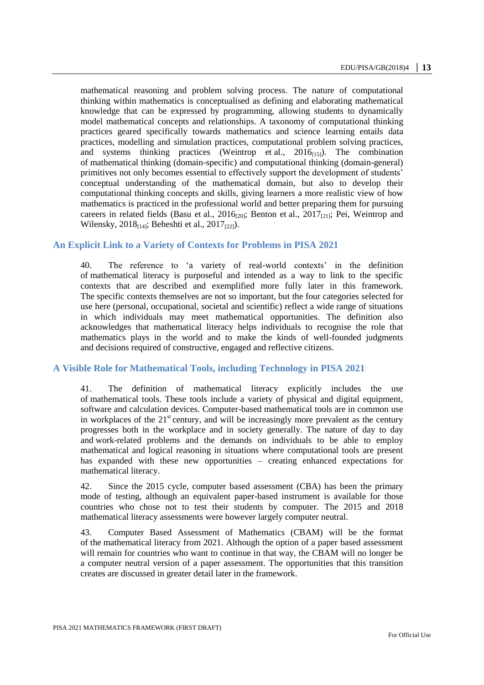mathematical reasoning and problem solving process. The nature of computational thinking within mathematics is conceptualised as defining and elaborating mathematical knowledge that can be expressed by programming, allowing students to dynamically model mathematical concepts and relationships. A taxonomy of computational thinking practices geared specifically towards mathematics and science learning entails data practices, modelling and simulation practices, computational problem solving practices, and systems thinking practices (Weintrop et al.,  $2016_{[15]}$ ). The combination of mathematical thinking (domain-specific) and computational thinking (domain-general) primitives not only becomes essential to effectively support the development of students' conceptual understanding of the mathematical domain, but also to develop their computational thinking concepts and skills, giving learners a more realistic view of how mathematics is practiced in the professional world and better preparing them for pursuing careers in related fields (Basu et al.,  $2016_{[20]}$ ; Benton et al.,  $2017_{[21]}$ ; Pei, Weintrop and Wilensky,  $2018_{[14]}$ ; Beheshti et al.,  $2017_{[22]}$ ).

#### <span id="page-12-0"></span>**An Explicit Link to a Variety of Contexts for Problems in PISA 2021**

40. The reference to 'a variety of real-world contexts' in the definition of mathematical literacy is purposeful and intended as a way to link to the specific contexts that are described and exemplified more fully later in this framework. The specific contexts themselves are not so important, but the four categories selected for use here (personal, occupational, societal and scientific) reflect a wide range of situations in which individuals may meet mathematical opportunities. The definition also acknowledges that mathematical literacy helps individuals to recognise the role that mathematics plays in the world and to make the kinds of well-founded judgments and decisions required of constructive, engaged and reflective citizens.

#### <span id="page-12-1"></span>**A Visible Role for Mathematical Tools, including Technology in PISA 2021**

41. The definition of mathematical literacy explicitly includes the use of mathematical tools. These tools include a variety of physical and digital equipment, software and calculation devices. Computer-based mathematical tools are in common use in workplaces of the  $21<sup>st</sup>$  century, and will be increasingly more prevalent as the century progresses both in the workplace and in society generally. The nature of day to day and work-related problems and the demands on individuals to be able to employ mathematical and logical reasoning in situations where computational tools are present has expanded with these new opportunities – creating enhanced expectations for mathematical literacy.

42. Since the 2015 cycle, computer based assessment (CBA) has been the primary mode of testing, although an equivalent paper-based instrument is available for those countries who chose not to test their students by computer. The 2015 and 2018 mathematical literacy assessments were however largely computer neutral.

43. Computer Based Assessment of Mathematics (CBAM) will be the format of the mathematical literacy from 2021. Although the option of a paper based assessment will remain for countries who want to continue in that way, the CBAM will no longer be a computer neutral version of a paper assessment. The opportunities that this transition creates are discussed in greater detail later in the framework.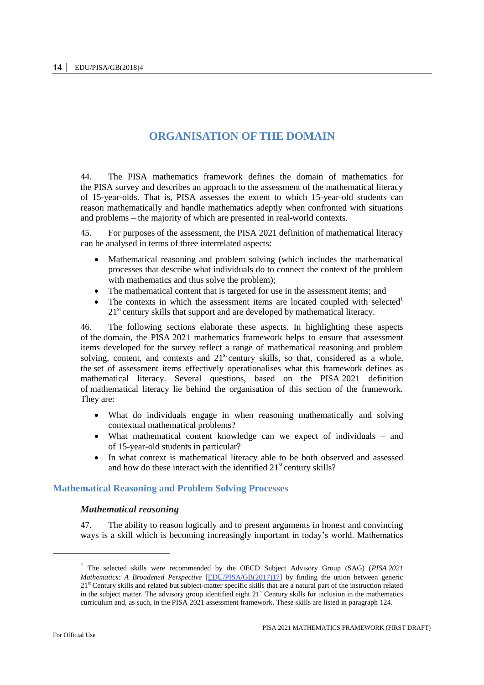## **ORGANISATION OF THE DOMAIN**

<span id="page-13-0"></span>44. The PISA mathematics framework defines the domain of mathematics for the PISA survey and describes an approach to the assessment of the mathematical literacy of 15-year-olds. That is, PISA assesses the extent to which 15-year-old students can reason mathematically and handle mathematics adeptly when confronted with situations and problems – the majority of which are presented in real-world contexts.

45. For purposes of the assessment, the PISA 2021 definition of mathematical literacy can be analysed in terms of three interrelated aspects:

- Mathematical reasoning and problem solving (which includes the mathematical processes that describe what individuals do to connect the context of the problem with mathematics and thus solve the problem);
- The mathematical content that is targeted for use in the assessment items; and
- The contexts in which the assessment items are located coupled with selected<sup>1</sup> 21<sup>st</sup> century skills that support and are developed by mathematical literacy.

46. The following sections elaborate these aspects. In highlighting these aspects of the domain, the PISA 2021 mathematics framework helps to ensure that assessment items developed for the survey reflect a range of mathematical reasoning and problem solving, content, and contexts and  $21<sup>st</sup>$  century skills, so that, considered as a whole, the set of assessment items effectively operationalises what this framework defines as mathematical literacy. Several questions, based on the PISA 2021 definition of mathematical literacy lie behind the organisation of this section of the framework. They are:

- What do individuals engage in when reasoning mathematically and solving contextual mathematical problems?
- What mathematical content knowledge can we expect of individuals and of 15-year-old students in particular?
- In what context is mathematical literacy able to be both observed and assessed and how do these interact with the identified  $21<sup>st</sup>$  century skills?

#### <span id="page-13-1"></span>**Mathematical Reasoning and Problem Solving Processes**

#### *Mathematical reasoning*

47. The ability to reason logically and to present arguments in honest and convincing ways is a skill which is becoming increasingly important in today's world. Mathematics

 $\overline{a}$ 

<sup>1</sup> The selected skills were recommended by the OECD Subject Advisory Group (SAG) (*PISA 2021 Mathematics: A Broadened Perspective* [\[EDU/PISA/GB\(2017\)17\]](https://one.oecd.org/document/EDU/PISA/GB(2017)17/en/pdf) by finding the union between generic 21<sup>st</sup> Century skills and related but subject-matter specific skills that are a natural part of the instruction related in the subject matter. The advisory group identified eight 21<sup>st</sup> Century skills for inclusion in the mathematics curriculum and, as such, in the PISA 2021 assessment framework. These skills are listed in paragraph 124.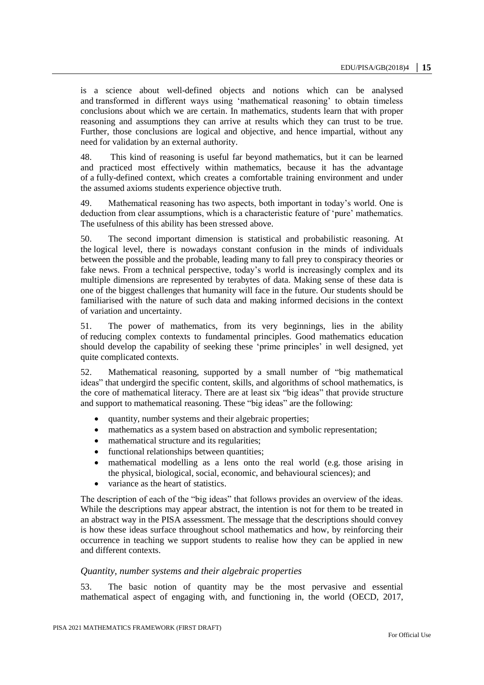is a science about well-defined objects and notions which can be analysed and transformed in different ways using 'mathematical reasoning' to obtain timeless conclusions about which we are certain. In mathematics, students learn that with proper reasoning and assumptions they can arrive at results which they can trust to be true. Further, those conclusions are logical and objective, and hence impartial, without any need for validation by an external authority.

48. This kind of reasoning is useful far beyond mathematics, but it can be learned and practiced most effectively within mathematics, because it has the advantage of a fully-defined context, which creates a comfortable training environment and under the assumed axioms students experience objective truth.

49. Mathematical reasoning has two aspects, both important in today's world. One is deduction from clear assumptions, which is a characteristic feature of 'pure' mathematics. The usefulness of this ability has been stressed above.

50. The second important dimension is statistical and probabilistic reasoning. At the logical level, there is nowadays constant confusion in the minds of individuals between the possible and the probable, leading many to fall prey to conspiracy theories or fake news. From a technical perspective, today's world is increasingly complex and its multiple dimensions are represented by terabytes of data. Making sense of these data is one of the biggest challenges that humanity will face in the future. Our students should be familiarised with the nature of such data and making informed decisions in the context of variation and uncertainty.

51. The power of mathematics, from its very beginnings, lies in the ability of reducing complex contexts to fundamental principles. Good mathematics education should develop the capability of seeking these 'prime principles' in well designed, yet quite complicated contexts.

52. Mathematical reasoning, supported by a small number of "big mathematical ideas" that undergird the specific content, skills, and algorithms of school mathematics, is the core of mathematical literacy. There are at least six "big ideas" that provide structure and support to mathematical reasoning. These "big ideas" are the following:

- quantity, number systems and their algebraic properties;
- mathematics as a system based on abstraction and symbolic representation;
- mathematical structure and its regularities;
- functional relationships between quantities;
- mathematical modelling as a lens onto the real world (e.g. those arising in the physical, biological, social, economic, and behavioural sciences); and
- variance as the heart of statistics.

The description of each of the "big ideas" that follows provides an overview of the ideas. While the descriptions may appear abstract, the intention is not for them to be treated in an abstract way in the PISA assessment. The message that the descriptions should convey is how these ideas surface throughout school mathematics and how, by reinforcing their occurrence in teaching we support students to realise how they can be applied in new and different contexts.

#### *Quantity, number systems and their algebraic properties*

53. The basic notion of quantity may be the most pervasive and essential mathematical aspect of engaging with, and functioning in, the world (OECD, 2017,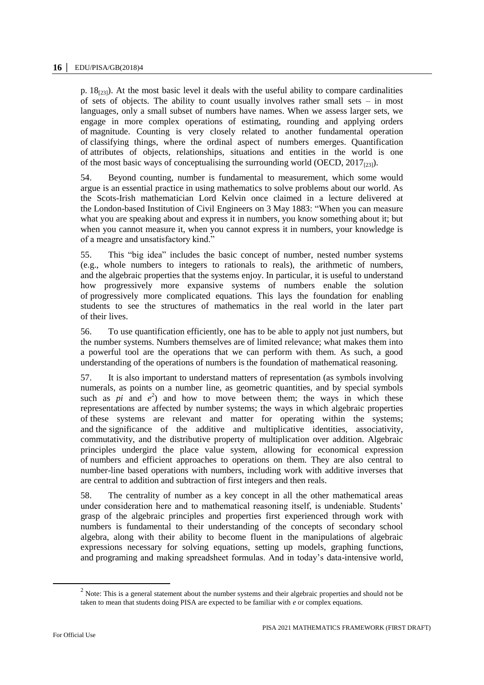p.  $18_{[23]}$ ). At the most basic level it deals with the useful ability to compare cardinalities of sets of objects. The ability to count usually involves rather small sets – in most languages, only a small subset of numbers have names. When we assess larger sets, we engage in more complex operations of estimating, rounding and applying orders of magnitude. Counting is very closely related to another fundamental operation of classifying things, where the ordinal aspect of numbers emerges. Quantification of attributes of objects, relationships, situations and entities in the world is one of the most basic ways of conceptualising the surrounding world (OECD,  $2017_{[23]}$ ).

54. Beyond counting, number is fundamental to measurement, which some would argue is an essential practice in using mathematics to solve problems about our world. As the Scots-Irish mathematician Lord Kelvin once claimed in a lecture delivered at the London-based Institution of Civil Engineers on 3 May 1883: "When you can measure what you are speaking about and express it in numbers, you know something about it; but when you cannot measure it, when you cannot express it in numbers, your knowledge is of a meagre and unsatisfactory kind."

55. This "big idea" includes the basic concept of number, nested number systems (e.g., whole numbers to integers to rationals to reals), the arithmetic of numbers, and the algebraic properties that the systems enjoy. In particular, it is useful to understand how progressively more expansive systems of numbers enable the solution of progressively more complicated equations. This lays the foundation for enabling students to see the structures of mathematics in the real world in the later part of their lives.

56. To use quantification efficiently, one has to be able to apply not just numbers, but the number systems. Numbers themselves are of limited relevance; what makes them into a powerful tool are the operations that we can perform with them. As such, a good understanding of the operations of numbers is the foundation of mathematical reasoning.

57. It is also important to understand matters of representation (as symbols involving numerals, as points on a number line, as geometric quantities, and by special symbols such as  $pi$  and  $e^2$ ) and how to move between them; the ways in which these representations are affected by number systems; the ways in which algebraic properties of these systems are relevant and matter for operating within the systems; and the significance of the additive and multiplicative identities, associativity, commutativity, and the distributive property of multiplication over addition. Algebraic principles undergird the place value system, allowing for economical expression of numbers and efficient approaches to operations on them. They are also central to number-line based operations with numbers, including work with additive inverses that are central to addition and subtraction of first integers and then reals.

58. The centrality of number as a key concept in all the other mathematical areas under consideration here and to mathematical reasoning itself, is undeniable. Students' grasp of the algebraic principles and properties first experienced through work with numbers is fundamental to their understanding of the concepts of secondary school algebra, along with their ability to become fluent in the manipulations of algebraic expressions necessary for solving equations, setting up models, graphing functions, and programing and making spreadsheet formulas. And in today's data-intensive world,

 $2$  Note: This is a general statement about the number systems and their algebraic properties and should not be taken to mean that students doing PISA are expected to be familiar with *e* or complex equations.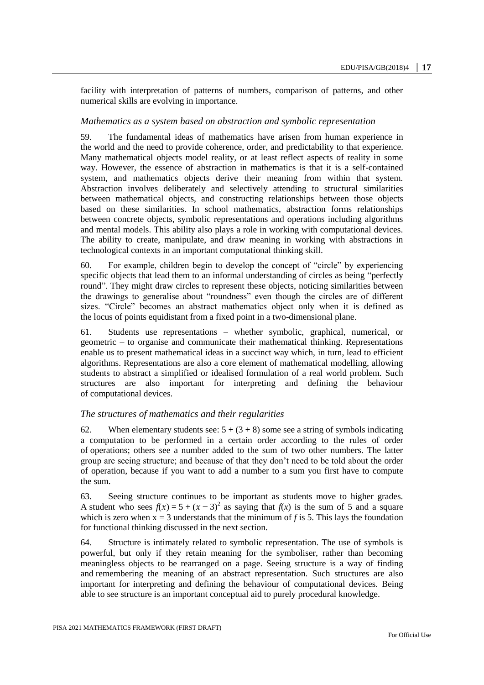facility with interpretation of patterns of numbers, comparison of patterns, and other numerical skills are evolving in importance.

#### *Mathematics as a system based on abstraction and symbolic representation*

59. The fundamental ideas of mathematics have arisen from human experience in the world and the need to provide coherence, order, and predictability to that experience. Many mathematical objects model reality, or at least reflect aspects of reality in some way. However, the essence of abstraction in mathematics is that it is a self-contained system, and mathematics objects derive their meaning from within that system. Abstraction involves deliberately and selectively attending to structural similarities between mathematical objects, and constructing relationships between those objects based on these similarities. In school mathematics, abstraction forms relationships between concrete objects, symbolic representations and operations including algorithms and mental models. This ability also plays a role in working with computational devices. The ability to create, manipulate, and draw meaning in working with abstractions in technological contexts in an important computational thinking skill.

60. For example, children begin to develop the concept of "circle" by experiencing specific objects that lead them to an informal understanding of circles as being "perfectly round". They might draw circles to represent these objects, noticing similarities between the drawings to generalise about "roundness" even though the circles are of different sizes. "Circle" becomes an abstract mathematics object only when it is defined as the locus of points equidistant from a fixed point in a two-dimensional plane.

61. Students use representations – whether symbolic, graphical, numerical, or geometric – to organise and communicate their mathematical thinking. Representations enable us to present mathematical ideas in a succinct way which, in turn, lead to efficient algorithms. Representations are also a core element of mathematical modelling, allowing students to abstract a simplified or idealised formulation of a real world problem. Such structures are also important for interpreting and defining the behaviour of computational devices.

#### *The structures of mathematics and their regularities*

62. When elementary students see:  $5 + (3 + 8)$  some see a string of symbols indicating a computation to be performed in a certain order according to the rules of order of operations; others see a number added to the sum of two other numbers. The latter group are seeing structure; and because of that they don't need to be told about the order of operation, because if you want to add a number to a sum you first have to compute the sum.

63. Seeing structure continues to be important as students move to higher grades. A student who sees  $f(x) = 5 + (x - 3)^2$  as saying that  $f(x)$  is the sum of 5 and a square which is zero when  $x = 3$  understands that the minimum of  $f$  is 5. This lays the foundation for functional thinking discussed in the next section.

64. Structure is intimately related to symbolic representation. The use of symbols is powerful, but only if they retain meaning for the symboliser, rather than becoming meaningless objects to be rearranged on a page. Seeing structure is a way of finding and remembering the meaning of an abstract representation. Such structures are also important for interpreting and defining the behaviour of computational devices. Being able to see structure is an important conceptual aid to purely procedural knowledge.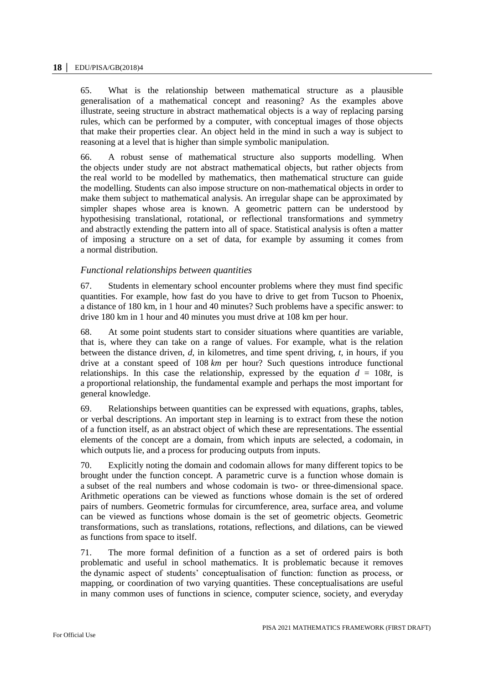65. What is the relationship between mathematical structure as a plausible generalisation of a mathematical concept and reasoning? As the examples above illustrate, seeing structure in abstract mathematical objects is a way of replacing parsing rules, which can be performed by a computer, with conceptual images of those objects that make their properties clear. An object held in the mind in such a way is subject to reasoning at a level that is higher than simple symbolic manipulation.

66. A robust sense of mathematical structure also supports modelling. When the objects under study are not abstract mathematical objects, but rather objects from the real world to be modelled by mathematics, then mathematical structure can guide the modelling. Students can also impose structure on non-mathematical objects in order to make them subject to mathematical analysis. An irregular shape can be approximated by simpler shapes whose area is known. A geometric pattern can be understood by hypothesising translational, rotational, or reflectional transformations and symmetry and abstractly extending the pattern into all of space. Statistical analysis is often a matter of imposing a structure on a set of data, for example by assuming it comes from a normal distribution.

#### *Functional relationships between quantities*

67. Students in elementary school encounter problems where they must find specific quantities. For example, how fast do you have to drive to get from Tucson to Phoenix, a distance of 180 km, in 1 hour and 40 minutes? Such problems have a specific answer: to drive 180 km in 1 hour and 40 minutes you must drive at 108 km per hour.

68. At some point students start to consider situations where quantities are variable, that is, where they can take on a range of values. For example, what is the relation between the distance driven, *d*, in kilometres, and time spent driving, *t*, in hours, if you drive at a constant speed of 108 *km* per hour? Such questions introduce functional relationships. In this case the relationship, expressed by the equation  $d = 108t$ , is a proportional relationship, the fundamental example and perhaps the most important for general knowledge.

69. Relationships between quantities can be expressed with equations, graphs, tables, or verbal descriptions. An important step in learning is to extract from these the notion of a function itself, as an abstract object of which these are representations. The essential elements of the concept are a domain, from which inputs are selected, a codomain, in which outputs lie, and a process for producing outputs from inputs.

70. Explicitly noting the domain and codomain allows for many different topics to be brought under the function concept. A parametric curve is a function whose domain is a subset of the real numbers and whose codomain is two- or three-dimensional space. Arithmetic operations can be viewed as functions whose domain is the set of ordered pairs of numbers. Geometric formulas for circumference, area, surface area, and volume can be viewed as functions whose domain is the set of geometric objects. Geometric transformations, such as translations, rotations, reflections, and dilations, can be viewed as functions from space to itself.

71. The more formal definition of a function as a set of ordered pairs is both problematic and useful in school mathematics. It is problematic because it removes the dynamic aspect of students' conceptualisation of function: function as process, or mapping, or coordination of two varying quantities. These conceptualisations are useful in many common uses of functions in science, computer science, society, and everyday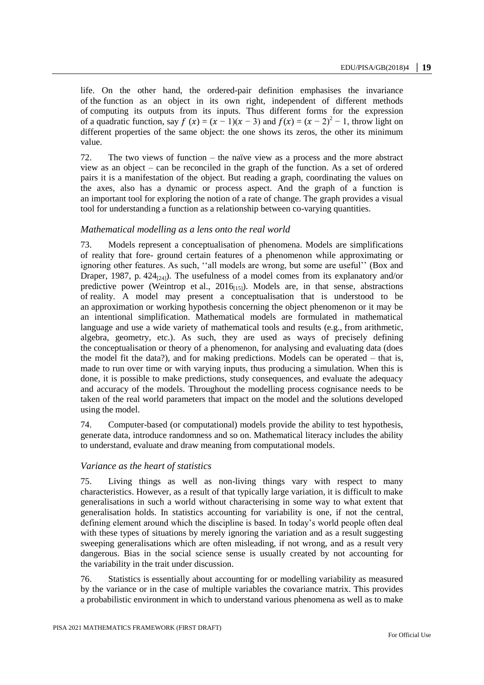life. On the other hand, the ordered-pair definition emphasises the invariance of the function as an object in its own right, independent of different methods of computing its outputs from its inputs. Thus different forms for the expression of a quadratic function, say  $f(x) = (x - 1)(x - 3)$  and  $f(x) = (x - 2)^2 - 1$ , throw light on different properties of the same object: the one shows its zeros, the other its minimum value.

72. The two views of function – the naïve view as a process and the more abstract view as an object – can be reconciled in the graph of the function. As a set of ordered pairs it is a manifestation of the object. But reading a graph, coordinating the values on the axes, also has a dynamic or process aspect. And the graph of a function is an important tool for exploring the notion of a rate of change. The graph provides a visual tool for understanding a function as a relationship between co-varying quantities.

#### *Mathematical modelling as a lens onto the real world*

73. Models represent a conceptualisation of phenomena. Models are simplifications of reality that fore- ground certain features of a phenomenon while approximating or ignoring other features. As such, ''all models are wrong, but some are useful'' (Box and Draper, 1987, p. 424 $_{[24]}$ ). The usefulness of a model comes from its explanatory and/or predictive power (Weintrop et al.,  $2016_{[15]}$ ). Models are, in that sense, abstractions of reality. A model may present a conceptualisation that is understood to be an approximation or working hypothesis concerning the object phenomenon or it may be an intentional simplification. Mathematical models are formulated in mathematical language and use a wide variety of mathematical tools and results (e.g., from arithmetic, algebra, geometry, etc.). As such, they are used as ways of precisely defining the conceptualisation or theory of a phenomenon, for analysing and evaluating data (does the model fit the data?), and for making predictions. Models can be operated – that is, made to run over time or with varying inputs, thus producing a simulation. When this is done, it is possible to make predictions, study consequences, and evaluate the adequacy and accuracy of the models. Throughout the modelling process cognisance needs to be taken of the real world parameters that impact on the model and the solutions developed using the model.

74. Computer-based (or computational) models provide the ability to test hypothesis, generate data, introduce randomness and so on. Mathematical literacy includes the ability to understand, evaluate and draw meaning from computational models.

#### *Variance as the heart of statistics*

75. Living things as well as non-living things vary with respect to many characteristics. However, as a result of that typically large variation, it is difficult to make generalisations in such a world without characterising in some way to what extent that generalisation holds. In statistics accounting for variability is one, if not the central, defining element around which the discipline is based. In today's world people often deal with these types of situations by merely ignoring the variation and as a result suggesting sweeping generalisations which are often misleading, if not wrong, and as a result very dangerous. Bias in the social science sense is usually created by not accounting for the variability in the trait under discussion.

76. Statistics is essentially about accounting for or modelling variability as measured by the variance or in the case of multiple variables the covariance matrix. This provides a probabilistic environment in which to understand various phenomena as well as to make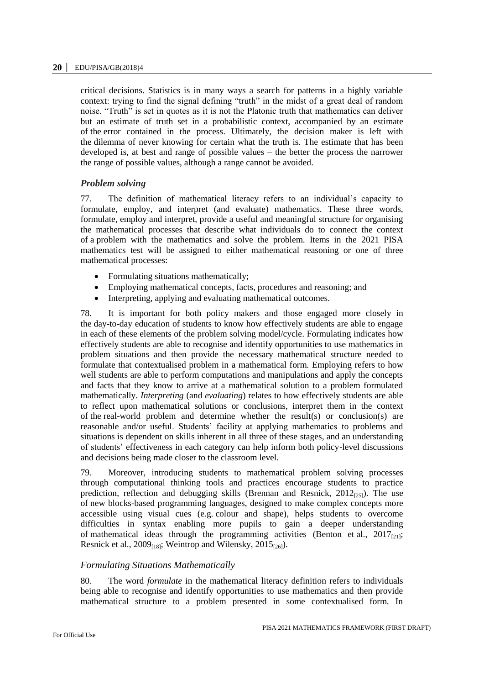critical decisions. Statistics is in many ways a search for patterns in a highly variable context: trying to find the signal defining "truth" in the midst of a great deal of random noise. "Truth" is set in quotes as it is not the Platonic truth that mathematics can deliver but an estimate of truth set in a probabilistic context, accompanied by an estimate of the error contained in the process. Ultimately, the decision maker is left with the dilemma of never knowing for certain what the truth is. The estimate that has been developed is, at best and range of possible values – the better the process the narrower the range of possible values, although a range cannot be avoided.

#### *Problem solving*

77. The definition of mathematical literacy refers to an individual's capacity to formulate, employ, and interpret (and evaluate) mathematics. These three words, formulate, employ and interpret, provide a useful and meaningful structure for organising the mathematical processes that describe what individuals do to connect the context of a problem with the mathematics and solve the problem. Items in the 2021 PISA mathematics test will be assigned to either mathematical reasoning or one of three mathematical processes:

- Formulating situations mathematically;
- Employing mathematical concepts, facts, procedures and reasoning; and
- Interpreting, applying and evaluating mathematical outcomes.

78. It is important for both policy makers and those engaged more closely in the day-to-day education of students to know how effectively students are able to engage in each of these elements of the problem solving model/cycle. Formulating indicates how effectively students are able to recognise and identify opportunities to use mathematics in problem situations and then provide the necessary mathematical structure needed to formulate that contextualised problem in a mathematical form. Employing refers to how well students are able to perform computations and manipulations and apply the concepts and facts that they know to arrive at a mathematical solution to a problem formulated mathematically. *Interpreting* (and *evaluating*) relates to how effectively students are able to reflect upon mathematical solutions or conclusions, interpret them in the context of the real-world problem and determine whether the result(s) or conclusion(s) are reasonable and/or useful. Students' facility at applying mathematics to problems and situations is dependent on skills inherent in all three of these stages, and an understanding of students' effectiveness in each category can help inform both policy-level discussions and decisions being made closer to the classroom level.

79. Moreover, introducing students to mathematical problem solving processes through computational thinking tools and practices encourage students to practice prediction, reflection and debugging skills (Brennan and Resnick,  $2012_{(25)}$ ). The use of new blocks-based programming languages, designed to make complex concepts more accessible using visual cues (e.g. colour and shape), helps students to overcome difficulties in syntax enabling more pupils to gain a deeper understanding of mathematical ideas through the programming activities (Benton et al.,  $2017_{[21]}$ ; Resnick et al.,  $2009_{[18]}$ ; Weintrop and Wilensky,  $2015_{[26]}$ ).

#### *Formulating Situations Mathematically*

80. The word *formulate* in the mathematical literacy definition refers to individuals being able to recognise and identify opportunities to use mathematics and then provide mathematical structure to a problem presented in some contextualised form. In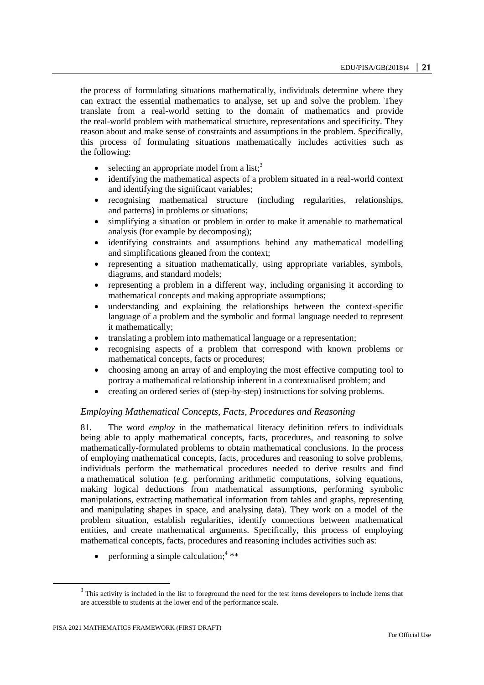the process of formulating situations mathematically, individuals determine where they can extract the essential mathematics to analyse, set up and solve the problem. They translate from a real-world setting to the domain of mathematics and provide the real-world problem with mathematical structure, representations and specificity. They reason about and make sense of constraints and assumptions in the problem. Specifically, this process of formulating situations mathematically includes activities such as the following:

- $\bullet$  selecting an appropriate model from a list;<sup>3</sup>
- identifying the mathematical aspects of a problem situated in a real-world context and identifying the significant variables;
- recognising mathematical structure (including regularities, relationships, and patterns) in problems or situations;
- simplifying a situation or problem in order to make it amenable to mathematical analysis (for example by decomposing);
- identifying constraints and assumptions behind any mathematical modelling and simplifications gleaned from the context;
- representing a situation mathematically, using appropriate variables, symbols, diagrams, and standard models;
- representing a problem in a different way, including organising it according to mathematical concepts and making appropriate assumptions;
- understanding and explaining the relationships between the context-specific language of a problem and the symbolic and formal language needed to represent it mathematically;
- translating a problem into mathematical language or a representation;
- recognising aspects of a problem that correspond with known problems or mathematical concepts, facts or procedures;
- choosing among an array of and employing the most effective computing tool to portray a mathematical relationship inherent in a contextualised problem; and
- creating an ordered series of (step-by-step) instructions for solving problems.

#### *Employing Mathematical Concepts, Facts, Procedures and Reasoning*

81. The word *employ* in the mathematical literacy definition refers to individuals being able to apply mathematical concepts, facts, procedures, and reasoning to solve mathematically-formulated problems to obtain mathematical conclusions. In the process of employing mathematical concepts, facts, procedures and reasoning to solve problems, individuals perform the mathematical procedures needed to derive results and find a mathematical solution (e.g. performing arithmetic computations, solving equations, making logical deductions from mathematical assumptions, performing symbolic manipulations, extracting mathematical information from tables and graphs, representing and manipulating shapes in space, and analysing data). They work on a model of the problem situation, establish regularities, identify connections between mathematical entities, and create mathematical arguments. Specifically, this process of employing mathematical concepts, facts, procedures and reasoning includes activities such as:

• performing a simple calculation;<sup>4</sup>  $**$ 

 $3$  This activity is included in the list to foreground the need for the test items developers to include items that are accessible to students at the lower end of the performance scale.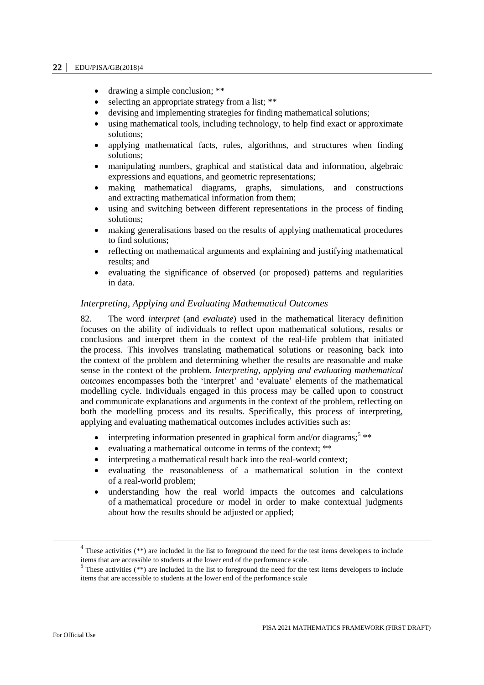#### **22 │** EDU/PISA/GB(2018)4

- drawing a simple conclusion; \*\*
- selecting an appropriate strategy from a list; \*\*
- devising and implementing strategies for finding mathematical solutions;
- using mathematical tools, including technology, to help find exact or approximate solutions;
- applying mathematical facts, rules, algorithms, and structures when finding solutions;
- manipulating numbers, graphical and statistical data and information, algebraic expressions and equations, and geometric representations;
- making mathematical diagrams, graphs, simulations, and constructions and extracting mathematical information from them;
- using and switching between different representations in the process of finding solutions;
- making generalisations based on the results of applying mathematical procedures to find solutions;
- reflecting on mathematical arguments and explaining and justifying mathematical results; and
- evaluating the significance of observed (or proposed) patterns and regularities in data.

#### *Interpreting, Applying and Evaluating Mathematical Outcomes*

82. The word *interpret* (and *evaluate*) used in the mathematical literacy definition focuses on the ability of individuals to reflect upon mathematical solutions, results or conclusions and interpret them in the context of the real-life problem that initiated the process. This involves translating mathematical solutions or reasoning back into the context of the problem and determining whether the results are reasonable and make sense in the context of the problem. *Interpreting, applying and evaluating mathematical outcomes* encompasses both the 'interpret' and 'evaluate' elements of the mathematical modelling cycle. Individuals engaged in this process may be called upon to construct and communicate explanations and arguments in the context of the problem, reflecting on both the modelling process and its results. Specifically, this process of interpreting, applying and evaluating mathematical outcomes includes activities such as:

- interpreting information presented in graphical form and/or diagrams;<sup>5</sup> \*\*
- evaluating a mathematical outcome in terms of the context; \*\*
- interpreting a mathematical result back into the real-world context;
- evaluating the reasonableness of a mathematical solution in the context of a real-world problem;
- understanding how the real world impacts the outcomes and calculations of a mathematical procedure or model in order to make contextual judgments about how the results should be adjusted or applied;

1

<sup>&</sup>lt;sup>4</sup> These activities (\*\*) are included in the list to foreground the need for the test items developers to include items that are accessible to students at the lower end of the performance scale.

 $<sup>5</sup>$  These activities (\*\*) are included in the list to foreground the need for the test items developers to include</sup> items that are accessible to students at the lower end of the performance scale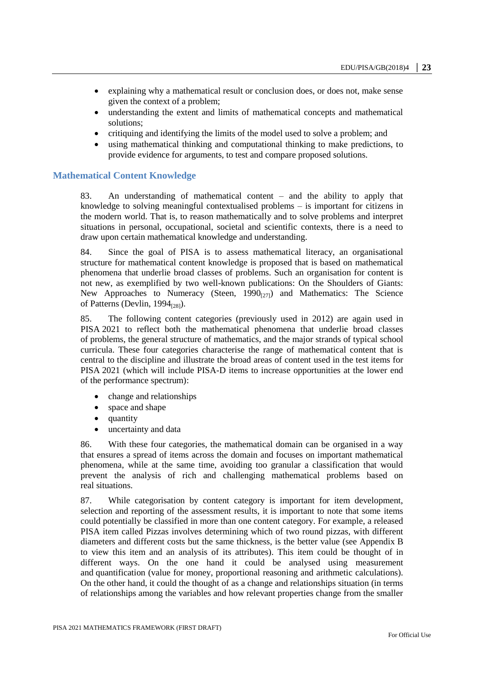- explaining why a mathematical result or conclusion does, or does not, make sense given the context of a problem;
- understanding the extent and limits of mathematical concepts and mathematical solutions;
- critiquing and identifying the limits of the model used to solve a problem; and
- using mathematical thinking and computational thinking to make predictions, to provide evidence for arguments, to test and compare proposed solutions.

#### <span id="page-22-0"></span>**Mathematical Content Knowledge**

83. An understanding of mathematical content – and the ability to apply that knowledge to solving meaningful contextualised problems – is important for citizens in the modern world. That is, to reason mathematically and to solve problems and interpret situations in personal, occupational, societal and scientific contexts, there is a need to draw upon certain mathematical knowledge and understanding.

84. Since the goal of PISA is to assess mathematical literacy, an organisational structure for mathematical content knowledge is proposed that is based on mathematical phenomena that underlie broad classes of problems. Such an organisation for content is not new, as exemplified by two well-known publications: On the Shoulders of Giants: New Approaches to Numeracy (Steen,  $1990_{[27]}$ ) and Mathematics: The Science of Patterns (Devlin,  $1994_{[28]}$ ).

85. The following content categories (previously used in 2012) are again used in PISA 2021 to reflect both the mathematical phenomena that underlie broad classes of problems, the general structure of mathematics, and the major strands of typical school curricula. These four categories characterise the range of mathematical content that is central to the discipline and illustrate the broad areas of content used in the test items for PISA 2021 (which will include PISA-D items to increase opportunities at the lower end of the performance spectrum):

- change and relationships
- space and shape
- quantity
- uncertainty and data

86. With these four categories, the mathematical domain can be organised in a way that ensures a spread of items across the domain and focuses on important mathematical phenomena, while at the same time, avoiding too granular a classification that would prevent the analysis of rich and challenging mathematical problems based on real situations.

87. While categorisation by content category is important for item development, selection and reporting of the assessment results, it is important to note that some items could potentially be classified in more than one content category. For example, a released PISA item called Pizzas involves determining which of two round pizzas, with different diameters and different costs but the same thickness, is the better value (see Appendix B to view this item and an analysis of its attributes). This item could be thought of in different ways. On the one hand it could be analysed using measurement and quantification (value for money, proportional reasoning and arithmetic calculations). On the other hand, it could the thought of as a change and relationships situation (in terms of relationships among the variables and how relevant properties change from the smaller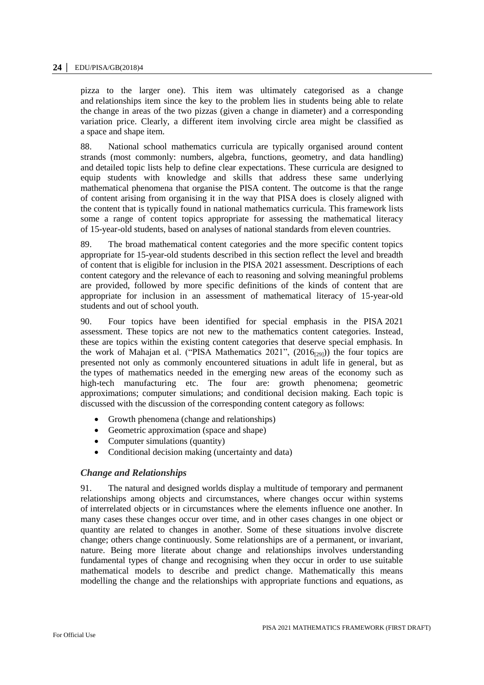pizza to the larger one). This item was ultimately categorised as a change and relationships item since the key to the problem lies in students being able to relate the change in areas of the two pizzas (given a change in diameter) and a corresponding variation price. Clearly, a different item involving circle area might be classified as a space and shape item.

88. National school mathematics curricula are typically organised around content strands (most commonly: numbers, algebra, functions, geometry, and data handling) and detailed topic lists help to define clear expectations. These curricula are designed to equip students with knowledge and skills that address these same underlying mathematical phenomena that organise the PISA content. The outcome is that the range of content arising from organising it in the way that PISA does is closely aligned with the content that is typically found in national mathematics curricula. This framework lists some a range of content topics appropriate for assessing the mathematical literacy of 15-year-old students, based on analyses of national standards from eleven countries.

89. The broad mathematical content categories and the more specific content topics appropriate for 15-year-old students described in this section reflect the level and breadth of content that is eligible for inclusion in the PISA 2021 assessment. Descriptions of each content category and the relevance of each to reasoning and solving meaningful problems are provided, followed by more specific definitions of the kinds of content that are appropriate for inclusion in an assessment of mathematical literacy of 15-year-old students and out of school youth.

90. Four topics have been identified for special emphasis in the PISA 2021 assessment. These topics are not new to the mathematics content categories. Instead, these are topics within the existing content categories that deserve special emphasis. In the work of Mahajan et al. ("PISA Mathematics  $2021$ ",  $(2016_{[29]})$ ) the four topics are presented not only as commonly encountered situations in adult life in general, but as the types of mathematics needed in the emerging new areas of the economy such as high-tech manufacturing etc. The four are: growth phenomena; geometric approximations; computer simulations; and conditional decision making. Each topic is discussed with the discussion of the corresponding content category as follows:

- Growth phenomena (change and relationships)
- Geometric approximation (space and shape)
- Computer simulations (quantity)
- Conditional decision making (uncertainty and data)

#### *Change and Relationships*

91. The natural and designed worlds display a multitude of temporary and permanent relationships among objects and circumstances, where changes occur within systems of interrelated objects or in circumstances where the elements influence one another. In many cases these changes occur over time, and in other cases changes in one object or quantity are related to changes in another. Some of these situations involve discrete change; others change continuously. Some relationships are of a permanent, or invariant, nature. Being more literate about change and relationships involves understanding fundamental types of change and recognising when they occur in order to use suitable mathematical models to describe and predict change. Mathematically this means modelling the change and the relationships with appropriate functions and equations, as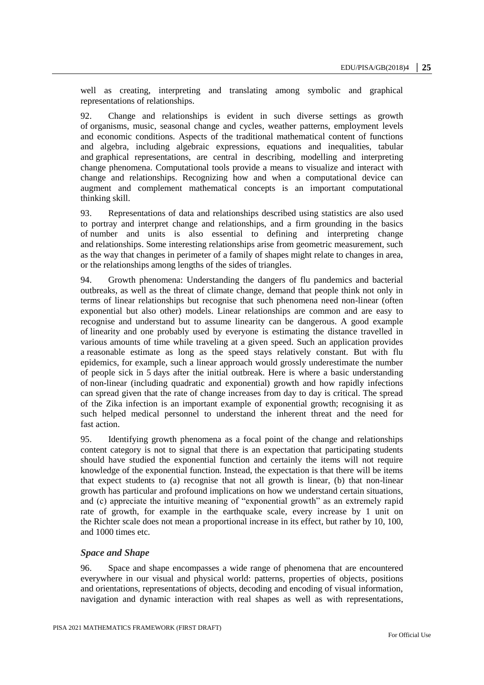well as creating, interpreting and translating among symbolic and graphical representations of relationships.

92. Change and relationships is evident in such diverse settings as growth of organisms, music, seasonal change and cycles, weather patterns, employment levels and economic conditions. Aspects of the traditional mathematical content of functions and algebra, including algebraic expressions, equations and inequalities, tabular and graphical representations, are central in describing, modelling and interpreting change phenomena. Computational tools provide a means to visualize and interact with change and relationships. Recognizing how and when a computational device can augment and complement mathematical concepts is an important computational thinking skill.

93. Representations of data and relationships described using statistics are also used to portray and interpret change and relationships, and a firm grounding in the basics of number and units is also essential to defining and interpreting change and relationships. Some interesting relationships arise from geometric measurement, such as the way that changes in perimeter of a family of shapes might relate to changes in area, or the relationships among lengths of the sides of triangles.

94. Growth phenomena: Understanding the dangers of flu pandemics and bacterial outbreaks, as well as the threat of climate change, demand that people think not only in terms of linear relationships but recognise that such phenomena need non-linear (often exponential but also other) models. Linear relationships are common and are easy to recognise and understand but to assume linearity can be dangerous. A good example of linearity and one probably used by everyone is estimating the distance travelled in various amounts of time while traveling at a given speed. Such an application provides a reasonable estimate as long as the speed stays relatively constant. But with flu epidemics, for example, such a linear approach would grossly underestimate the number of people sick in 5 days after the initial outbreak. Here is where a basic understanding of non-linear (including quadratic and exponential) growth and how rapidly infections can spread given that the rate of change increases from day to day is critical. The spread of the Zika infection is an important example of exponential growth; recognising it as such helped medical personnel to understand the inherent threat and the need for fast action.

95. Identifying growth phenomena as a focal point of the change and relationships content category is not to signal that there is an expectation that participating students should have studied the exponential function and certainly the items will not require knowledge of the exponential function. Instead, the expectation is that there will be items that expect students to (a) recognise that not all growth is linear, (b) that non-linear growth has particular and profound implications on how we understand certain situations, and (c) appreciate the intuitive meaning of "exponential growth" as an extremely rapid rate of growth, for example in the earthquake scale, every increase by 1 unit on the Richter scale does not mean a proportional increase in its effect, but rather by 10, 100, and 1000 times etc.

#### *Space and Shape*

96. Space and shape encompasses a wide range of phenomena that are encountered everywhere in our visual and physical world: patterns, properties of objects, positions and orientations, representations of objects, decoding and encoding of visual information, navigation and dynamic interaction with real shapes as well as with representations,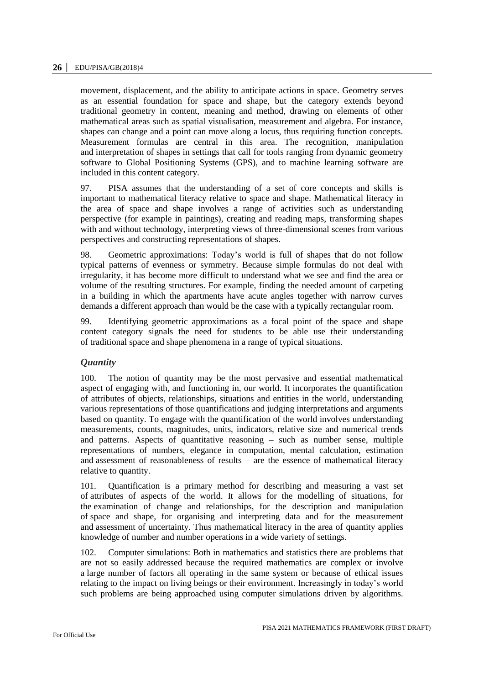movement, displacement, and the ability to anticipate actions in space. Geometry serves as an essential foundation for space and shape, but the category extends beyond traditional geometry in content, meaning and method, drawing on elements of other mathematical areas such as spatial visualisation, measurement and algebra. For instance, shapes can change and a point can move along a locus, thus requiring function concepts. Measurement formulas are central in this area. The recognition, manipulation and interpretation of shapes in settings that call for tools ranging from dynamic geometry software to Global Positioning Systems (GPS), and to machine learning software are included in this content category.

97. PISA assumes that the understanding of a set of core concepts and skills is important to mathematical literacy relative to space and shape. Mathematical literacy in the area of space and shape involves a range of activities such as understanding perspective (for example in paintings), creating and reading maps, transforming shapes with and without technology, interpreting views of three-dimensional scenes from various perspectives and constructing representations of shapes.

98. Geometric approximations: Today's world is full of shapes that do not follow typical patterns of evenness or symmetry. Because simple formulas do not deal with irregularity, it has become more difficult to understand what we see and find the area or volume of the resulting structures. For example, finding the needed amount of carpeting in a building in which the apartments have acute angles together with narrow curves demands a different approach than would be the case with a typically rectangular room.

99. Identifying geometric approximations as a focal point of the space and shape content category signals the need for students to be able use their understanding of traditional space and shape phenomena in a range of typical situations.

#### *Quantity*

100. The notion of quantity may be the most pervasive and essential mathematical aspect of engaging with, and functioning in, our world. It incorporates the quantification of attributes of objects, relationships, situations and entities in the world, understanding various representations of those quantifications and judging interpretations and arguments based on quantity. To engage with the quantification of the world involves understanding measurements, counts, magnitudes, units, indicators, relative size and numerical trends and patterns. Aspects of quantitative reasoning – such as number sense, multiple representations of numbers, elegance in computation, mental calculation, estimation and assessment of reasonableness of results – are the essence of mathematical literacy relative to quantity.

101. Quantification is a primary method for describing and measuring a vast set of attributes of aspects of the world. It allows for the modelling of situations, for the examination of change and relationships, for the description and manipulation of space and shape, for organising and interpreting data and for the measurement and assessment of uncertainty. Thus mathematical literacy in the area of quantity applies knowledge of number and number operations in a wide variety of settings.

102. Computer simulations: Both in mathematics and statistics there are problems that are not so easily addressed because the required mathematics are complex or involve a large number of factors all operating in the same system or because of ethical issues relating to the impact on living beings or their environment. Increasingly in today's world such problems are being approached using computer simulations driven by algorithms.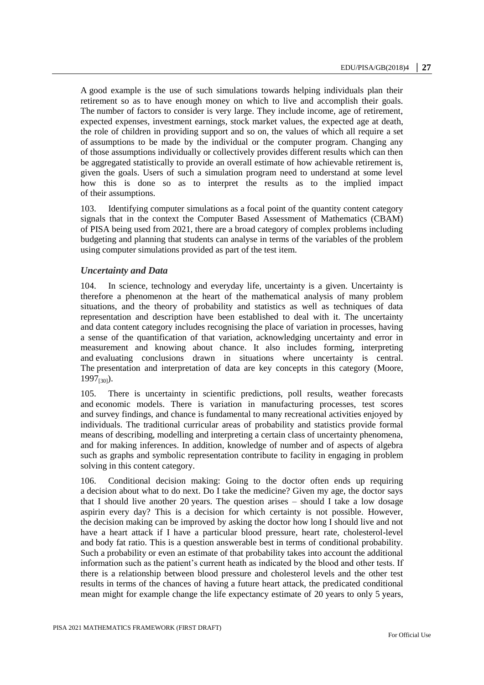A good example is the use of such simulations towards helping individuals plan their retirement so as to have enough money on which to live and accomplish their goals. The number of factors to consider is very large. They include income, age of retirement, expected expenses, investment earnings, stock market values, the expected age at death, the role of children in providing support and so on, the values of which all require a set of assumptions to be made by the individual or the computer program. Changing any of those assumptions individually or collectively provides different results which can then be aggregated statistically to provide an overall estimate of how achievable retirement is, given the goals. Users of such a simulation program need to understand at some level how this is done so as to interpret the results as to the implied impact of their assumptions.

103. Identifying computer simulations as a focal point of the quantity content category signals that in the context the Computer Based Assessment of Mathematics (CBAM) of PISA being used from 2021, there are a broad category of complex problems including budgeting and planning that students can analyse in terms of the variables of the problem using computer simulations provided as part of the test item.

#### *Uncertainty and Data*

104. In science, technology and everyday life, uncertainty is a given. Uncertainty is therefore a phenomenon at the heart of the mathematical analysis of many problem situations, and the theory of probability and statistics as well as techniques of data representation and description have been established to deal with it. The uncertainty and data content category includes recognising the place of variation in processes, having a sense of the quantification of that variation, acknowledging uncertainty and error in measurement and knowing about chance. It also includes forming, interpreting and evaluating conclusions drawn in situations where uncertainty is central. The presentation and interpretation of data are key concepts in this category (Moore,  $1997_{[30]}$ ).

105. There is uncertainty in scientific predictions, poll results, weather forecasts and economic models. There is variation in manufacturing processes, test scores and survey findings, and chance is fundamental to many recreational activities enjoyed by individuals. The traditional curricular areas of probability and statistics provide formal means of describing, modelling and interpreting a certain class of uncertainty phenomena, and for making inferences. In addition, knowledge of number and of aspects of algebra such as graphs and symbolic representation contribute to facility in engaging in problem solving in this content category.

106. Conditional decision making: Going to the doctor often ends up requiring a decision about what to do next. Do I take the medicine? Given my age, the doctor says that I should live another 20 years. The question arises  $-$  should I take a low dosage aspirin every day? This is a decision for which certainty is not possible. However, the decision making can be improved by asking the doctor how long I should live and not have a heart attack if I have a particular blood pressure, heart rate, cholesterol-level and body fat ratio. This is a question answerable best in terms of conditional probability. Such a probability or even an estimate of that probability takes into account the additional information such as the patient's current heath as indicated by the blood and other tests. If there is a relationship between blood pressure and cholesterol levels and the other test results in terms of the chances of having a future heart attack, the predicated conditional mean might for example change the life expectancy estimate of 20 years to only 5 years,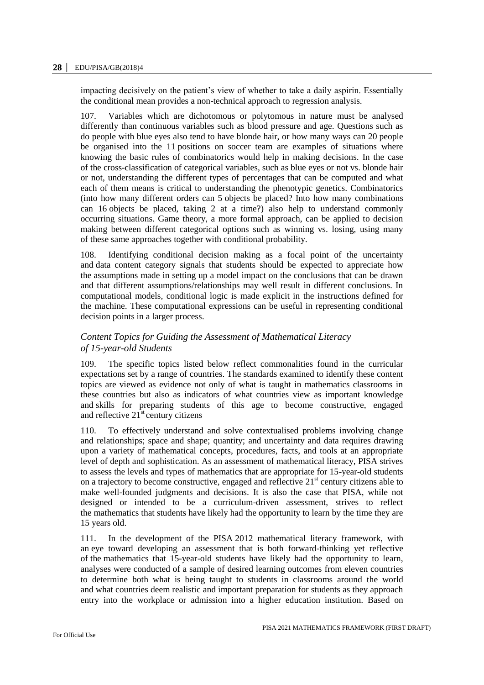impacting decisively on the patient's view of whether to take a daily aspirin. Essentially the conditional mean provides a non-technical approach to regression analysis.

107. Variables which are dichotomous or polytomous in nature must be analysed differently than continuous variables such as blood pressure and age. Questions such as do people with blue eyes also tend to have blonde hair, or how many ways can 20 people be organised into the 11 positions on soccer team are examples of situations where knowing the basic rules of combinatorics would help in making decisions. In the case of the cross-classification of categorical variables, such as blue eyes or not vs. blonde hair or not, understanding the different types of percentages that can be computed and what each of them means is critical to understanding the phenotypic genetics. Combinatorics (into how many different orders can 5 objects be placed? Into how many combinations can 16 objects be placed, taking 2 at a time?) also help to understand commonly occurring situations. Game theory, a more formal approach, can be applied to decision making between different categorical options such as winning vs. losing, using many of these same approaches together with conditional probability.

108. Identifying conditional decision making as a focal point of the uncertainty and data content category signals that students should be expected to appreciate how the assumptions made in setting up a model impact on the conclusions that can be drawn and that different assumptions/relationships may well result in different conclusions. In computational models, conditional logic is made explicit in the instructions defined for the machine. These computational expressions can be useful in representing conditional decision points in a larger process.

### *Content Topics for Guiding the Assessment of Mathematical Literacy of 15-year-old Students*

109. The specific topics listed below reflect commonalities found in the curricular expectations set by a range of countries. The standards examined to identify these content topics are viewed as evidence not only of what is taught in mathematics classrooms in these countries but also as indicators of what countries view as important knowledge and skills for preparing students of this age to become constructive, engaged and reflective  $21<sup>st</sup>$  century citizens

110. To effectively understand and solve contextualised problems involving change and relationships; space and shape; quantity; and uncertainty and data requires drawing upon a variety of mathematical concepts, procedures, facts, and tools at an appropriate level of depth and sophistication. As an assessment of mathematical literacy, PISA strives to assess the levels and types of mathematics that are appropriate for 15-year-old students on a trajectory to become constructive, engaged and reflective  $21<sup>st</sup>$  century citizens able to make well-founded judgments and decisions. It is also the case that PISA, while not designed or intended to be a curriculum-driven assessment, strives to reflect the mathematics that students have likely had the opportunity to learn by the time they are 15 years old.

111. In the development of the PISA 2012 mathematical literacy framework, with an eye toward developing an assessment that is both forward-thinking yet reflective of the mathematics that 15-year-old students have likely had the opportunity to learn, analyses were conducted of a sample of desired learning outcomes from eleven countries to determine both what is being taught to students in classrooms around the world and what countries deem realistic and important preparation for students as they approach entry into the workplace or admission into a higher education institution. Based on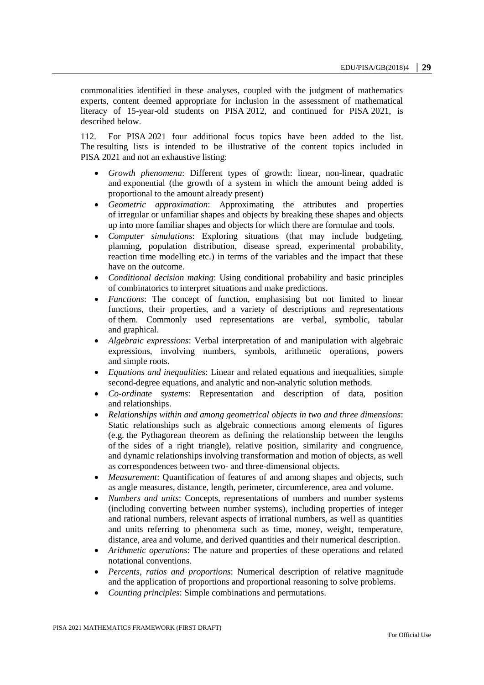commonalities identified in these analyses, coupled with the judgment of mathematics experts, content deemed appropriate for inclusion in the assessment of mathematical literacy of 15-year-old students on PISA 2012, and continued for PISA 2021, is described below.

112. For PISA 2021 four additional focus topics have been added to the list. The resulting lists is intended to be illustrative of the content topics included in PISA 2021 and not an exhaustive listing:

- *Growth phenomena*: Different types of growth: linear, non-linear, quadratic and exponential (the growth of a system in which the amount being added is proportional to the amount already present)
- *Geometric approximation*: Approximating the attributes and properties of irregular or unfamiliar shapes and objects by breaking these shapes and objects up into more familiar shapes and objects for which there are formulae and tools.
- *Computer simulations*: Exploring situations (that may include budgeting, planning, population distribution, disease spread, experimental probability, reaction time modelling etc.) in terms of the variables and the impact that these have on the outcome.
- *Conditional decision making*: Using conditional probability and basic principles of combinatorics to interpret situations and make predictions.
- *Functions*: The concept of function, emphasising but not limited to linear functions, their properties, and a variety of descriptions and representations of them. Commonly used representations are verbal, symbolic, tabular and graphical.
- *Algebraic expressions*: Verbal interpretation of and manipulation with algebraic expressions, involving numbers, symbols, arithmetic operations, powers and simple roots.
- *Equations and inequalities*: Linear and related equations and inequalities, simple second-degree equations, and analytic and non-analytic solution methods.
- *Co-ordinate systems*: Representation and description of data, position and relationships.
- *Relationships within and among geometrical objects in two and three dimensions*: Static relationships such as algebraic connections among elements of figures (e.g. the Pythagorean theorem as defining the relationship between the lengths of the sides of a right triangle), relative position, similarity and congruence, and dynamic relationships involving transformation and motion of objects, as well as correspondences between two- and three-dimensional objects.
- *Measurement*: Quantification of features of and among shapes and objects, such as angle measures, distance, length, perimeter, circumference, area and volume.
- *Numbers and units*: Concepts, representations of numbers and number systems (including converting between number systems), including properties of integer and rational numbers, relevant aspects of irrational numbers, as well as quantities and units referring to phenomena such as time, money, weight, temperature, distance, area and volume, and derived quantities and their numerical description.
- *Arithmetic operations*: The nature and properties of these operations and related notational conventions.
- *Percents, ratios and proportions*: Numerical description of relative magnitude and the application of proportions and proportional reasoning to solve problems.
- *Counting principles*: Simple combinations and permutations.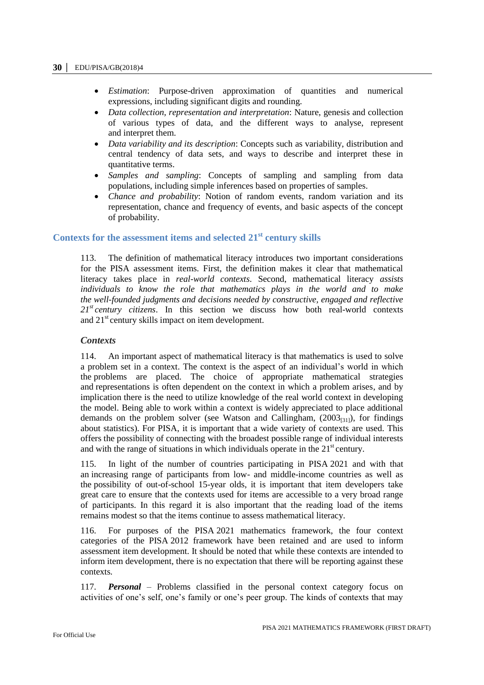- *Estimation*: Purpose-driven approximation of quantities and numerical expressions, including significant digits and rounding.
- *Data collection, representation and interpretation*: Nature, genesis and collection of various types of data, and the different ways to analyse, represent and interpret them.
- *Data variability and its description*: Concepts such as variability, distribution and central tendency of data sets, and ways to describe and interpret these in quantitative terms.
- *Samples and sampling*: Concepts of sampling and sampling from data populations, including simple inferences based on properties of samples.
- *Chance and probability*: Notion of random events, random variation and its representation, chance and frequency of events, and basic aspects of the concept of probability.

#### <span id="page-29-0"></span>**Contexts for the assessment items and selected 21st century skills**

113. The definition of mathematical literacy introduces two important considerations for the PISA assessment items. First, the definition makes it clear that mathematical literacy takes place in *real-world contexts*. Second, mathematical literacy *assists individuals to know the role that mathematics plays in the world and to make the well-founded judgments and decisions needed by constructive, engaged and reflective 21st century citizens*. In this section we discuss how both real-world contexts and 21<sup>st</sup> century skills impact on item development.

#### *Contexts*

114. An important aspect of mathematical literacy is that mathematics is used to solve a problem set in a context. The context is the aspect of an individual's world in which the problems are placed. The choice of appropriate mathematical strategies and representations is often dependent on the context in which a problem arises, and by implication there is the need to utilize knowledge of the real world context in developing the model. Being able to work within a context is widely appreciated to place additional demands on the problem solver (see Watson and Callingham,  $(2003<sub>[31]</sub>)$ , for findings about statistics). For PISA, it is important that a wide variety of contexts are used. This offers the possibility of connecting with the broadest possible range of individual interests and with the range of situations in which individuals operate in the  $21<sup>st</sup>$  century.

115. In light of the number of countries participating in PISA 2021 and with that an increasing range of participants from low- and middle-income countries as well as the possibility of out-of-school 15-year olds, it is important that item developers take great care to ensure that the contexts used for items are accessible to a very broad range of participants. In this regard it is also important that the reading load of the items remains modest so that the items continue to assess mathematical literacy.

116. For purposes of the PISA 2021 mathematics framework, the four context categories of the PISA 2012 framework have been retained and are used to inform assessment item development. It should be noted that while these contexts are intended to inform item development, there is no expectation that there will be reporting against these contexts.

117. *Personal* – Problems classified in the personal context category focus on activities of one's self, one's family or one's peer group. The kinds of contexts that may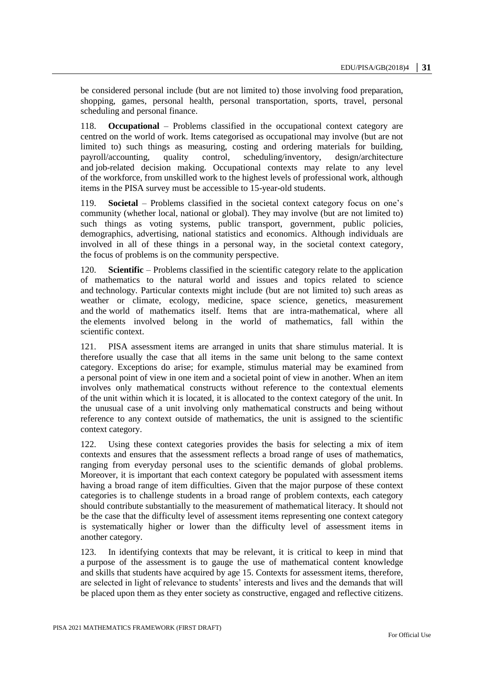be considered personal include (but are not limited to) those involving food preparation, shopping, games, personal health, personal transportation, sports, travel, personal scheduling and personal finance.

118. **Occupational** – Problems classified in the occupational context category are centred on the world of work. Items categorised as occupational may involve (but are not limited to) such things as measuring, costing and ordering materials for building, payroll/accounting, quality control, scheduling/inventory, design/architecture payroll/accounting, quality control, scheduling/inventory, design/architecture and job-related decision making. Occupational contexts may relate to any level of the workforce, from unskilled work to the highest levels of professional work, although items in the PISA survey must be accessible to 15-year-old students.

119. **Societal** – Problems classified in the societal context category focus on one's community (whether local, national or global). They may involve (but are not limited to) such things as voting systems, public transport, government, public policies, demographics, advertising, national statistics and economics. Although individuals are involved in all of these things in a personal way, in the societal context category, the focus of problems is on the community perspective.

120. **Scientific** – Problems classified in the scientific category relate to the application of mathematics to the natural world and issues and topics related to science and technology. Particular contexts might include (but are not limited to) such areas as weather or climate, ecology, medicine, space science, genetics, measurement and the world of mathematics itself. Items that are intra-mathematical, where all the elements involved belong in the world of mathematics, fall within the scientific context.

121. PISA assessment items are arranged in units that share stimulus material. It is therefore usually the case that all items in the same unit belong to the same context category. Exceptions do arise; for example, stimulus material may be examined from a personal point of view in one item and a societal point of view in another. When an item involves only mathematical constructs without reference to the contextual elements of the unit within which it is located, it is allocated to the context category of the unit. In the unusual case of a unit involving only mathematical constructs and being without reference to any context outside of mathematics, the unit is assigned to the scientific context category.

122. Using these context categories provides the basis for selecting a mix of item contexts and ensures that the assessment reflects a broad range of uses of mathematics, ranging from everyday personal uses to the scientific demands of global problems. Moreover, it is important that each context category be populated with assessment items having a broad range of item difficulties. Given that the major purpose of these context categories is to challenge students in a broad range of problem contexts, each category should contribute substantially to the measurement of mathematical literacy. It should not be the case that the difficulty level of assessment items representing one context category is systematically higher or lower than the difficulty level of assessment items in another category.

123. In identifying contexts that may be relevant, it is critical to keep in mind that a purpose of the assessment is to gauge the use of mathematical content knowledge and skills that students have acquired by age 15. Contexts for assessment items, therefore, are selected in light of relevance to students' interests and lives and the demands that will be placed upon them as they enter society as constructive, engaged and reflective citizens.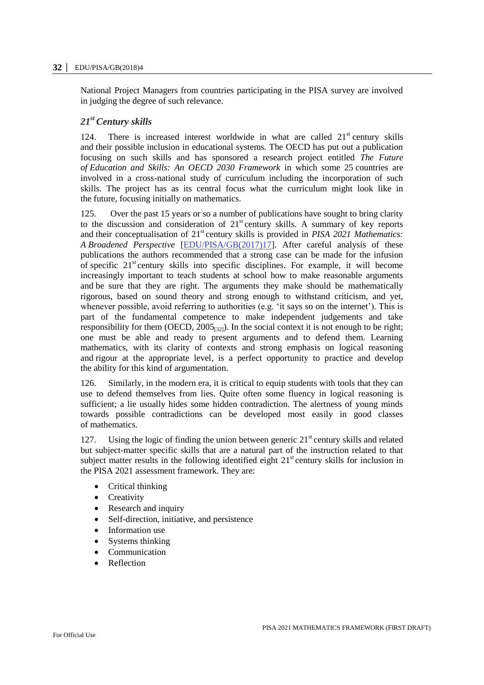National Project Managers from countries participating in the PISA survey are involved in judging the degree of such relevance.

#### *21st Century skills*

124. There is increased interest worldwide in what are called  $21<sup>st</sup>$  century skills and their possible inclusion in educational systems. The OECD has put out a publication focusing on such skills and has sponsored a research project entitled *The Future of Education and Skills: An OECD 2030 Framework* in which some 25 countries are involved in a cross-national study of curriculum including the incorporation of such skills. The project has as its central focus what the curriculum might look like in the future, focusing initially on mathematics.

125. Over the past 15 years or so a number of publications have sought to bring clarity to the discussion and consideration of  $21<sup>st</sup>$  century skills. A summary of key reports and their conceptualisation of 21<sup>st</sup> century skills is provided in *PISA 2021 Mathematics*: *A Broadened Perspective* [\[EDU/PISA/GB\(2017\)17\]](https://one.oecd.org/document/EDU/PISA/GB(2017)17/en/pdf). After careful analysis of these publications the authors recommended that a strong case can be made for the infusion of specific  $21<sup>st</sup>$  century skills into specific disciplines. For example, it will become increasingly important to teach students at school how to make reasonable arguments and be sure that they are right. The arguments they make should be mathematically rigorous, based on sound theory and strong enough to withstand criticism, and yet, whenever possible, avoid referring to authorities (e.g. 'it says so on the internet'). This is part of the fundamental competence to make independent judgements and take responsibility for them (OECD,  $2005_{[32]}$ ). In the social context it is not enough to be right; one must be able and ready to present arguments and to defend them. Learning mathematics, with its clarity of contexts and strong emphasis on logical reasoning and rigour at the appropriate level, is a perfect opportunity to practice and develop the ability for this kind of argumentation.

126. Similarly, in the modern era, it is critical to equip students with tools that they can use to defend themselves from lies. Quite often some fluency in logical reasoning is sufficient; a lie usually hides some hidden contradiction. The alertness of young minds towards possible contradictions can be developed most easily in good classes of mathematics.

127. Using the logic of finding the union between generic  $21<sup>st</sup>$  century skills and related but subject-matter specific skills that are a natural part of the instruction related to that subject matter results in the following identified eight  $21<sup>st</sup>$  century skills for inclusion in the PISA 2021 assessment framework. They are:

- Critical thinking
- **Creativity**
- Research and inquiry
- Self-direction, initiative, and persistence
- Information use
- Systems thinking
- Communication
- Reflection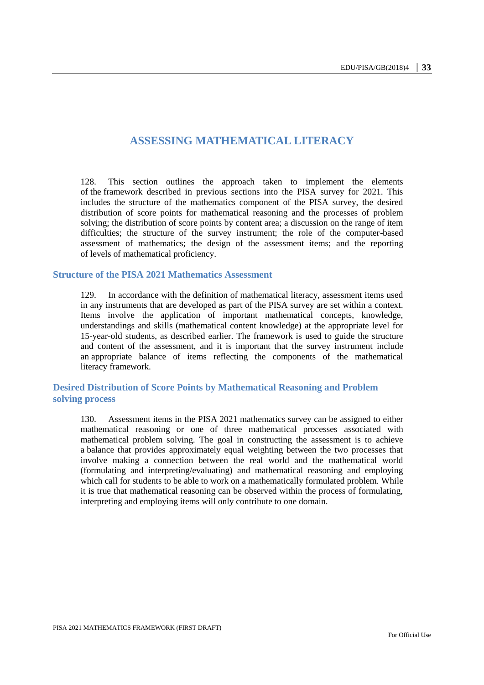## <span id="page-32-0"></span>**ASSESSING MATHEMATICAL LITERACY**

128. This section outlines the approach taken to implement the elements of the framework described in previous sections into the PISA survey for 2021. This includes the structure of the mathematics component of the PISA survey, the desired distribution of score points for mathematical reasoning and the processes of problem solving; the distribution of score points by content area; a discussion on the range of item difficulties; the structure of the survey instrument; the role of the computer-based assessment of mathematics; the design of the assessment items; and the reporting of levels of mathematical proficiency.

#### <span id="page-32-1"></span>**Structure of the PISA 2021 Mathematics Assessment**

129. In accordance with the definition of mathematical literacy, assessment items used in any instruments that are developed as part of the PISA survey are set within a context. Items involve the application of important mathematical concepts, knowledge, understandings and skills (mathematical content knowledge) at the appropriate level for 15-year-old students, as described earlier. The framework is used to guide the structure and content of the assessment, and it is important that the survey instrument include an appropriate balance of items reflecting the components of the mathematical literacy framework.

#### <span id="page-32-2"></span>**Desired Distribution of Score Points by Mathematical Reasoning and Problem solving process**

130. Assessment items in the PISA 2021 mathematics survey can be assigned to either mathematical reasoning or one of three mathematical processes associated with mathematical problem solving. The goal in constructing the assessment is to achieve a balance that provides approximately equal weighting between the two processes that involve making a connection between the real world and the mathematical world (formulating and interpreting/evaluating) and mathematical reasoning and employing which call for students to be able to work on a mathematically formulated problem. While it is true that mathematical reasoning can be observed within the process of formulating, interpreting and employing items will only contribute to one domain.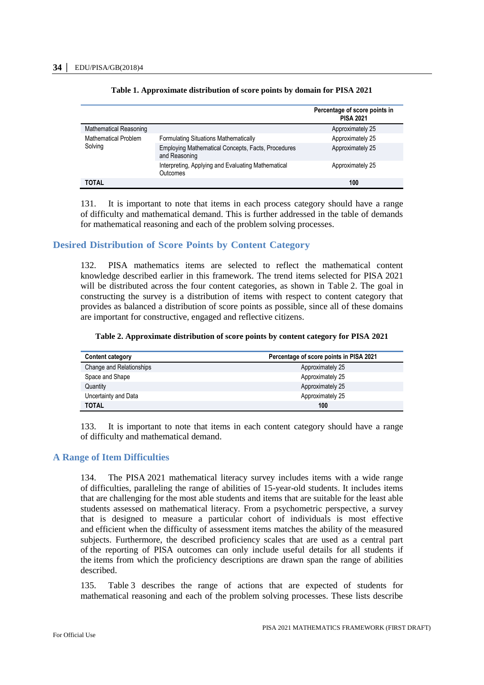<span id="page-33-2"></span>

|                                        |                                                                            | Percentage of score points in<br><b>PISA 2021</b> |
|----------------------------------------|----------------------------------------------------------------------------|---------------------------------------------------|
| Mathematical Reasoning                 |                                                                            | Approximately 25                                  |
| <b>Mathematical Problem</b><br>Solving | <b>Formulating Situations Mathematically</b>                               | Approximately 25                                  |
|                                        | <b>Employing Mathematical Concepts, Facts, Procedures</b><br>and Reasoning | Approximately 25                                  |
|                                        | Interpreting, Applying and Evaluating Mathematical<br>Outcomes             | Approximately 25                                  |
| <b>TOTAL</b>                           |                                                                            | 100                                               |

| Table 1. Approximate distribution of score points by domain for PISA 2021 |  |  |  |  |  |  |
|---------------------------------------------------------------------------|--|--|--|--|--|--|
|---------------------------------------------------------------------------|--|--|--|--|--|--|

131. It is important to note that items in each process category should have a range of difficulty and mathematical demand. This is further addressed in the table of demands for mathematical reasoning and each of the problem solving processes.

#### <span id="page-33-0"></span>**Desired Distribution of Score Points by Content Category**

132. PISA mathematics items are selected to reflect the mathematical content knowledge described earlier in this framework. The trend items selected for PISA 2021 will be distributed across the four content categories, as shown in Table 2. The goal in constructing the survey is a distribution of items with respect to content category that provides as balanced a distribution of score points as possible, since all of these domains are important for constructive, engaged and reflective citizens.

<span id="page-33-3"></span>

| Content category         | Percentage of score points in PISA 2021 |
|--------------------------|-----------------------------------------|
| Change and Relationships | Approximately 25                        |
| Space and Shape          | Approximately 25                        |
| Quantity                 | Approximately 25                        |
| Uncertainty and Data     | Approximately 25                        |
| <b>TOTAL</b>             | 100                                     |

133. It is important to note that items in each content category should have a range of difficulty and mathematical demand.

#### <span id="page-33-1"></span>**A Range of Item Difficulties**

134. The PISA 2021 mathematical literacy survey includes items with a wide range of difficulties, paralleling the range of abilities of 15-year-old students. It includes items that are challenging for the most able students and items that are suitable for the least able students assessed on mathematical literacy. From a psychometric perspective, a survey that is designed to measure a particular cohort of individuals is most effective and efficient when the difficulty of assessment items matches the ability of the measured subjects. Furthermore, the described proficiency scales that are used as a central part of the reporting of PISA outcomes can only include useful details for all students if the items from which the proficiency descriptions are drawn span the range of abilities described.

135. Table 3 describes the range of actions that are expected of students for mathematical reasoning and each of the problem solving processes. These lists describe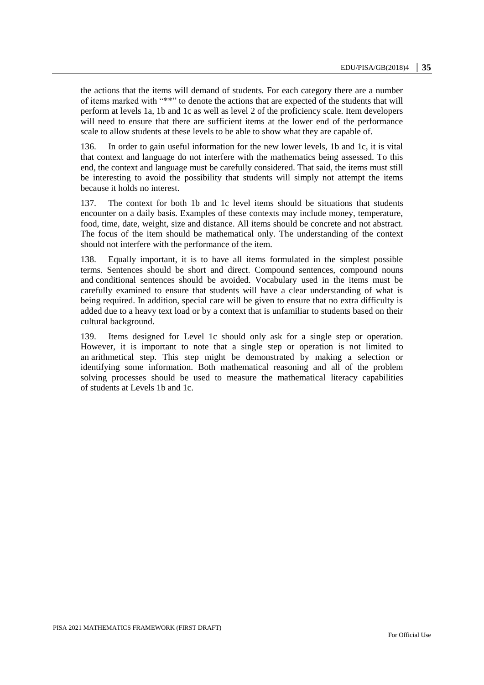the actions that the items will demand of students. For each category there are a number of items marked with "\*\*" to denote the actions that are expected of the students that will perform at levels 1a, 1b and 1c as well as level 2 of the proficiency scale. Item developers will need to ensure that there are sufficient items at the lower end of the performance scale to allow students at these levels to be able to show what they are capable of.

136. In order to gain useful information for the new lower levels, 1b and 1c, it is vital that context and language do not interfere with the mathematics being assessed. To this end, the context and language must be carefully considered. That said, the items must still be interesting to avoid the possibility that students will simply not attempt the items because it holds no interest.

137. The context for both 1b and 1c level items should be situations that students encounter on a daily basis. Examples of these contexts may include money, temperature, food, time, date, weight, size and distance. All items should be concrete and not abstract. The focus of the item should be mathematical only. The understanding of the context should not interfere with the performance of the item.

138. Equally important, it is to have all items formulated in the simplest possible terms. Sentences should be short and direct. Compound sentences, compound nouns and conditional sentences should be avoided. Vocabulary used in the items must be carefully examined to ensure that students will have a clear understanding of what is being required. In addition, special care will be given to ensure that no extra difficulty is added due to a heavy text load or by a context that is unfamiliar to students based on their cultural background.

139. Items designed for Level 1c should only ask for a single step or operation. However, it is important to note that a single step or operation is not limited to an arithmetical step. This step might be demonstrated by making a selection or identifying some information. Both mathematical reasoning and all of the problem solving processes should be used to measure the mathematical literacy capabilities of students at Levels 1b and 1c.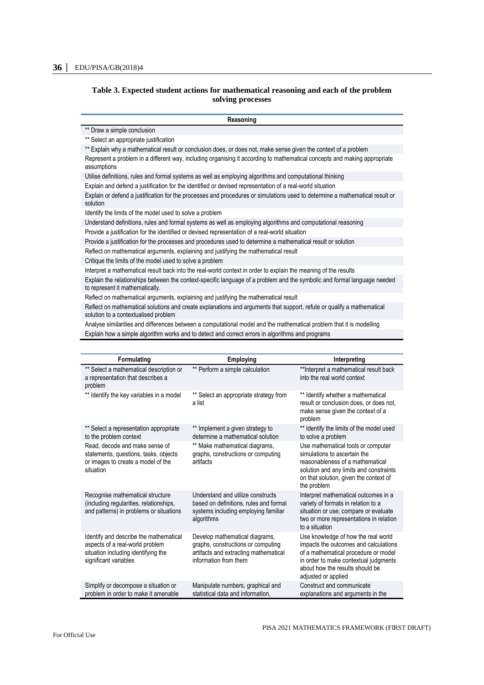#### <span id="page-35-0"></span>**Table 3. Expected student actions for mathematical reasoning and each of the problem solving processes**

| Reasoning |  |
|-----------|--|
|           |  |

|  |  |  |  |  | ** Draw a simple conclusion |  |
|--|--|--|--|--|-----------------------------|--|
|--|--|--|--|--|-----------------------------|--|

\*\* Select an appropriate justification

\*\* Explain why a mathematical result or conclusion does, or does not, make sense given the context of a problem Represent a problem in a different way, including organising it according to mathematical concepts and making appropriate

assumptions

Utilise definitions, rules and formal systems as well as employing algorithms and computational thinking

Explain and defend a justification for the identified or devised representation of a real-world situation

Explain or defend a justification for the processes and procedures or simulations used to determine a mathematical result or solution

Identify the limits of the model used to solve a problem

Understand definitions, rules and formal systems as well as employing algorithms and computational reasoning

Provide a justification for the identified or devised representation of a real-world situation

- Provide a justification for the processes and procedures used to determine a mathematical result or solution
- Reflect on mathematical arguments, explaining and justifying the mathematical result
- Critique the limits of the model used to solve a problem

Interpret a mathematical result back into the real-world context in order to explain the meaning of the results

Explain the relationships between the context-specific language of a problem and the symbolic and formal language needed to represent it mathematically.

Reflect on mathematical arguments, explaining and justifying the mathematical result

Reflect on mathematical solutions and create explanations and arguments that support, refute or qualify a mathematical solution to a contextualised problem

Analyse similarities and differences between a computational model and the mathematical problem that it is modelling Explain how a simple algorithm works and to detect and correct errors in algorithms and programs

| Formulating                                                                                                                               | <b>Employing</b>                                                                                                                       | Interpreting                                                                                                                                                                                                            |
|-------------------------------------------------------------------------------------------------------------------------------------------|----------------------------------------------------------------------------------------------------------------------------------------|-------------------------------------------------------------------------------------------------------------------------------------------------------------------------------------------------------------------------|
| ** Select a mathematical description or<br>a representation that describes a<br>problem                                                   | ** Perform a simple calculation                                                                                                        | ** Interpret a mathematical result back<br>into the real world context                                                                                                                                                  |
| ** Identify the key variables in a model                                                                                                  | ** Select an appropriate strategy from<br>a list                                                                                       | ** Identify whether a mathematical<br>result or conclusion does, or does not,<br>make sense given the context of a<br>problem                                                                                           |
| ** Select a representation appropriate<br>to the problem context                                                                          | ** Implement a given strategy to<br>determine a mathematical solution                                                                  | ** Identify the limits of the model used<br>to solve a problem                                                                                                                                                          |
| Read, decode and make sense of<br>statements, questions, tasks, objects<br>or images to create a model of the<br>situation                | ** Make mathematical diagrams,<br>graphs, constructions or computing<br>artifacts                                                      | Use mathematical tools or computer<br>simulations to ascertain the<br>reasonableness of a mathematical<br>solution and any limits and constraints<br>on that solution, given the context of<br>the problem              |
| Recognise mathematical structure<br>(including regularities, relationships,<br>and patterns) in problems or situations                    | Understand and utilize constructs<br>based on definitions, rules and formal<br>systems including employing familiar<br>algorithms      | Interpret mathematical outcomes in a<br>variety of formats in relation to a<br>situation or use; compare or evaluate<br>two or more representations in relation<br>to a situation                                       |
| Identify and describe the mathematical<br>aspects of a real-world problem<br>situation including identifying the<br>significant variables | Develop mathematical diagrams,<br>graphs, constructions or computing<br>artifacts and extracting mathematical<br>information from them | Use knowledge of how the real world<br>impacts the outcomes and calculations<br>of a mathematical procedure or model<br>in order to make contextual judgments<br>about how the results should be<br>adjusted or applied |
| Simplify or decompose a situation or<br>problem in order to make it amenable                                                              | Manipulate numbers, graphical and<br>statistical data and information.                                                                 | Construct and communicate<br>explanations and arguments in the                                                                                                                                                          |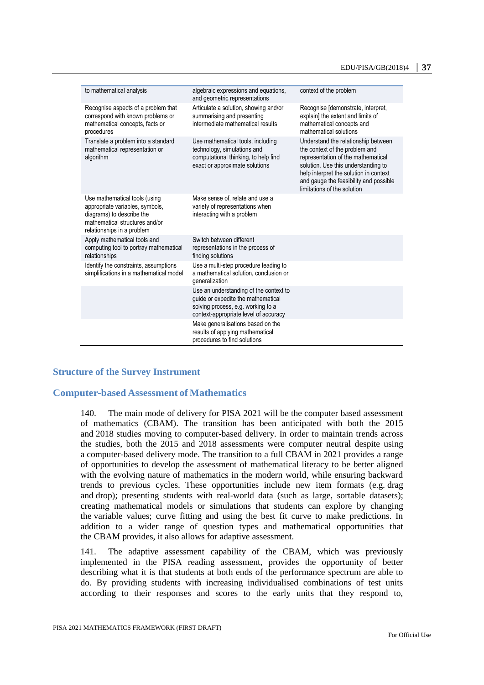| to mathematical analysis                                                                                                                                      | algebraic expressions and equations,<br>and geometric representations                                                                                       | context of the problem                                                                                                                                                                                                                                                |
|---------------------------------------------------------------------------------------------------------------------------------------------------------------|-------------------------------------------------------------------------------------------------------------------------------------------------------------|-----------------------------------------------------------------------------------------------------------------------------------------------------------------------------------------------------------------------------------------------------------------------|
| Recognise aspects of a problem that<br>correspond with known problems or<br>mathematical concepts, facts or<br>procedures                                     | Articulate a solution, showing and/or<br>summarising and presenting<br>intermediate mathematical results                                                    | Recognise [demonstrate, interpret,<br>explain] the extent and limits of<br>mathematical concepts and<br>mathematical solutions                                                                                                                                        |
| Translate a problem into a standard<br>mathematical representation or<br>algorithm                                                                            | Use mathematical tools, including<br>technology, simulations and<br>computational thinking, to help find<br>exact or approximate solutions                  | Understand the relationship between<br>the context of the problem and<br>representation of the mathematical<br>solution. Use this understanding to<br>help interpret the solution in context<br>and gauge the feasibility and possible<br>limitations of the solution |
| Use mathematical tools (using<br>appropriate variables, symbols,<br>diagrams) to describe the<br>mathematical structures and/or<br>relationships in a problem | Make sense of, relate and use a<br>variety of representations when<br>interacting with a problem                                                            |                                                                                                                                                                                                                                                                       |
| Apply mathematical tools and<br>computing tool to portray mathematical<br>relationships                                                                       | Switch between different<br>representations in the process of<br>finding solutions                                                                          |                                                                                                                                                                                                                                                                       |
| Identify the constraints, assumptions<br>simplifications in a mathematical model                                                                              | Use a multi-step procedure leading to<br>a mathematical solution, conclusion or<br>generalization                                                           |                                                                                                                                                                                                                                                                       |
|                                                                                                                                                               | Use an understanding of the context to<br>guide or expedite the mathematical<br>solving process, e.g. working to a<br>context-appropriate level of accuracy |                                                                                                                                                                                                                                                                       |
|                                                                                                                                                               | Make generalisations based on the<br>results of applying mathematical<br>procedures to find solutions                                                       |                                                                                                                                                                                                                                                                       |

#### <span id="page-36-0"></span>**Structure of the Survey Instrument**

#### <span id="page-36-1"></span>**Computer-based Assessment of Mathematics**

140. The main mode of delivery for PISA 2021 will be the computer based assessment of mathematics (CBAM). The transition has been anticipated with both the 2015 and 2018 studies moving to computer-based delivery. In order to maintain trends across the studies, both the 2015 and 2018 assessments were computer neutral despite using a computer-based delivery mode. The transition to a full CBAM in 2021 provides a range of opportunities to develop the assessment of mathematical literacy to be better aligned with the evolving nature of mathematics in the modern world, while ensuring backward trends to previous cycles. These opportunities include new item formats (e.g. drag and drop); presenting students with real-world data (such as large, sortable datasets); creating mathematical models or simulations that students can explore by changing the variable values; curve fitting and using the best fit curve to make predictions. In addition to a wider range of question types and mathematical opportunities that the CBAM provides, it also allows for adaptive assessment.

141. The adaptive assessment capability of the CBAM, which was previously implemented in the PISA reading assessment, provides the opportunity of better describing what it is that students at both ends of the performance spectrum are able to do. By providing students with increasing individualised combinations of test units according to their responses and scores to the early units that they respond to,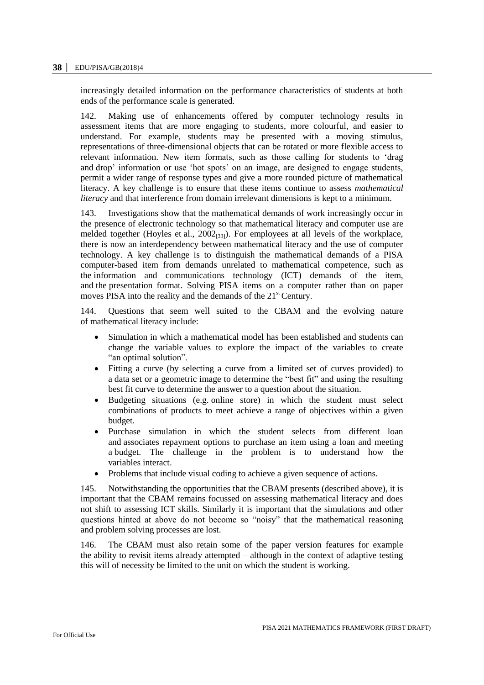increasingly detailed information on the performance characteristics of students at both ends of the performance scale is generated.

142. Making use of enhancements offered by computer technology results in assessment items that are more engaging to students, more colourful, and easier to understand. For example, students may be presented with a moving stimulus, representations of three-dimensional objects that can be rotated or more flexible access to relevant information. New item formats, such as those calling for students to 'drag and drop' information or use 'hot spots' on an image, are designed to engage students, permit a wider range of response types and give a more rounded picture of mathematical literacy. A key challenge is to ensure that these items continue to assess *mathematical literacy* and that interference from domain irrelevant dimensions is kept to a minimum.

143. Investigations show that the mathematical demands of work increasingly occur in the presence of electronic technology so that mathematical literacy and computer use are melded together (Hoyles et al.,  $2002_{133}$ ). For employees at all levels of the workplace, there is now an interdependency between mathematical literacy and the use of computer technology. A key challenge is to distinguish the mathematical demands of a PISA computer-based item from demands unrelated to mathematical competence, such as the information and communications technology (ICT) demands of the item, and the presentation format. Solving PISA items on a computer rather than on paper moves PISA into the reality and the demands of the  $21<sup>st</sup>$  Century.

144. Questions that seem well suited to the CBAM and the evolving nature of mathematical literacy include:

- Simulation in which a mathematical model has been established and students can change the variable values to explore the impact of the variables to create "an optimal solution".
- Fitting a curve (by selecting a curve from a limited set of curves provided) to a data set or a geometric image to determine the "best fit" and using the resulting best fit curve to determine the answer to a question about the situation.
- Budgeting situations (e.g. online store) in which the student must select combinations of products to meet achieve a range of objectives within a given budget.
- Purchase simulation in which the student selects from different loan and associates repayment options to purchase an item using a loan and meeting a budget. The challenge in the problem is to understand how the variables interact.
- Problems that include visual coding to achieve a given sequence of actions.

145. Notwithstanding the opportunities that the CBAM presents (described above), it is important that the CBAM remains focussed on assessing mathematical literacy and does not shift to assessing ICT skills. Similarly it is important that the simulations and other questions hinted at above do not become so "noisy" that the mathematical reasoning and problem solving processes are lost.

146. The CBAM must also retain some of the paper version features for example the ability to revisit items already attempted – although in the context of adaptive testing this will of necessity be limited to the unit on which the student is working.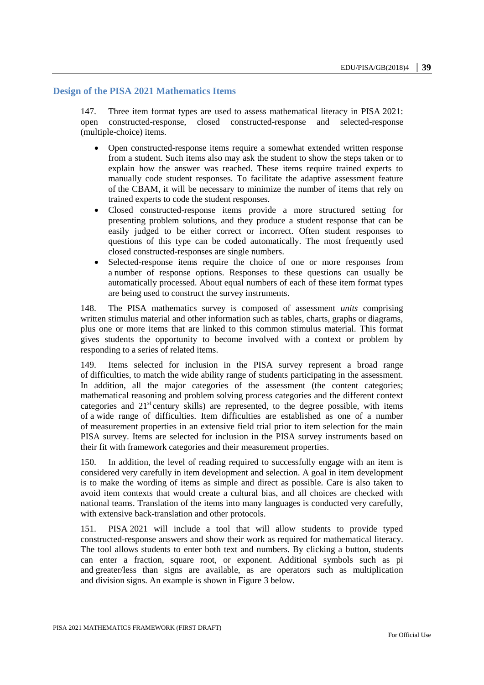#### <span id="page-38-0"></span>**Design of the PISA 2021 Mathematics Items**

147. Three item format types are used to assess mathematical literacy in PISA 2021: open constructed-response, closed constructed-response and selected-response (multiple-choice) items.

- Open constructed-response items require a somewhat extended written response from a student. Such items also may ask the student to show the steps taken or to explain how the answer was reached. These items require trained experts to manually code student responses. To facilitate the adaptive assessment feature of the CBAM, it will be necessary to minimize the number of items that rely on trained experts to code the student responses.
- Closed constructed-response items provide a more structured setting for presenting problem solutions, and they produce a student response that can be easily judged to be either correct or incorrect. Often student responses to questions of this type can be coded automatically. The most frequently used closed constructed-responses are single numbers.
- Selected-response items require the choice of one or more responses from a number of response options. Responses to these questions can usually be automatically processed. About equal numbers of each of these item format types are being used to construct the survey instruments.

148. The PISA mathematics survey is composed of assessment *units* comprising written stimulus material and other information such as tables, charts, graphs or diagrams, plus one or more items that are linked to this common stimulus material. This format gives students the opportunity to become involved with a context or problem by responding to a series of related items.

149. Items selected for inclusion in the PISA survey represent a broad range of difficulties, to match the wide ability range of students participating in the assessment. In addition, all the major categories of the assessment (the content categories; mathematical reasoning and problem solving process categories and the different context categories and  $21<sup>st</sup>$  century skills) are represented, to the degree possible, with items of a wide range of difficulties. Item difficulties are established as one of a number of measurement properties in an extensive field trial prior to item selection for the main PISA survey. Items are selected for inclusion in the PISA survey instruments based on their fit with framework categories and their measurement properties.

150. In addition, the level of reading required to successfully engage with an item is considered very carefully in item development and selection. A goal in item development is to make the wording of items as simple and direct as possible. Care is also taken to avoid item contexts that would create a cultural bias, and all choices are checked with national teams. Translation of the items into many languages is conducted very carefully, with extensive back-translation and other protocols.

151. PISA 2021 will include a tool that will allow students to provide typed constructed-response answers and show their work as required for mathematical literacy. The tool allows students to enter both text and numbers. By clicking a button, students can enter a fraction, square root, or exponent. Additional symbols such as pi and greater/less than signs are available, as are operators such as multiplication and division signs. An example is shown in Figure 3 below.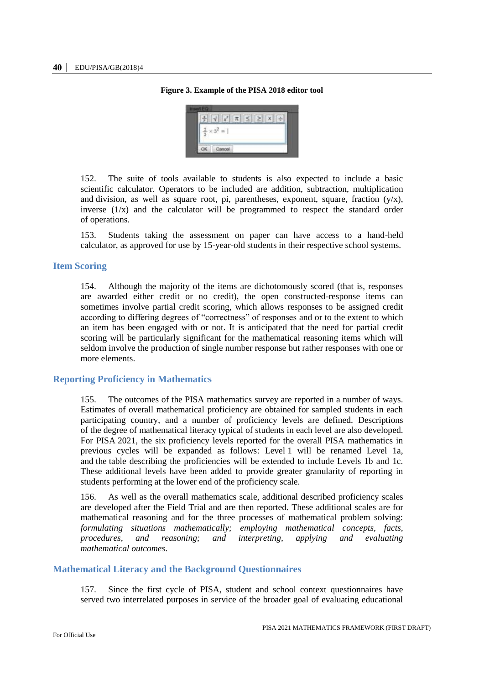# Cancel

**Figure 3. Example of the PISA 2018 editor tool**

<span id="page-39-3"></span>152. The suite of tools available to students is also expected to include a basic scientific calculator. Operators to be included are addition, subtraction, multiplication and division, as well as square root, pi, parentheses, exponent, square, fraction  $(y/x)$ , inverse  $(1/x)$  and the calculator will be programmed to respect the standard order of operations.

153. Students taking the assessment on paper can have access to a hand-held calculator, as approved for use by 15-year-old students in their respective school systems.

#### <span id="page-39-0"></span>**Item Scoring**

154. Although the majority of the items are dichotomously scored (that is, responses are awarded either credit or no credit), the open constructed-response items can sometimes involve partial credit scoring, which allows responses to be assigned credit according to differing degrees of "correctness" of responses and or to the extent to which an item has been engaged with or not. It is anticipated that the need for partial credit scoring will be particularly significant for the mathematical reasoning items which will seldom involve the production of single number response but rather responses with one or more elements.

#### <span id="page-39-1"></span>**Reporting Proficiency in Mathematics**

155. The outcomes of the PISA mathematics survey are reported in a number of ways. Estimates of overall mathematical proficiency are obtained for sampled students in each participating country, and a number of proficiency levels are defined. Descriptions of the degree of mathematical literacy typical of students in each level are also developed. For PISA 2021, the six proficiency levels reported for the overall PISA mathematics in previous cycles will be expanded as follows: Level 1 will be renamed Level 1a, and the table describing the proficiencies will be extended to include Levels 1b and 1c. These additional levels have been added to provide greater granularity of reporting in students performing at the lower end of the proficiency scale.

156. As well as the overall mathematics scale, additional described proficiency scales are developed after the Field Trial and are then reported. These additional scales are for mathematical reasoning and for the three processes of mathematical problem solving: *formulating situations mathematically; employing mathematical concepts, facts, procedures, and reasoning; and interpreting, applying and evaluating mathematical outcomes*.

#### <span id="page-39-2"></span>**Mathematical Literacy and the Background Questionnaires**

157. Since the first cycle of PISA, student and school context questionnaires have served two interrelated purposes in service of the broader goal of evaluating educational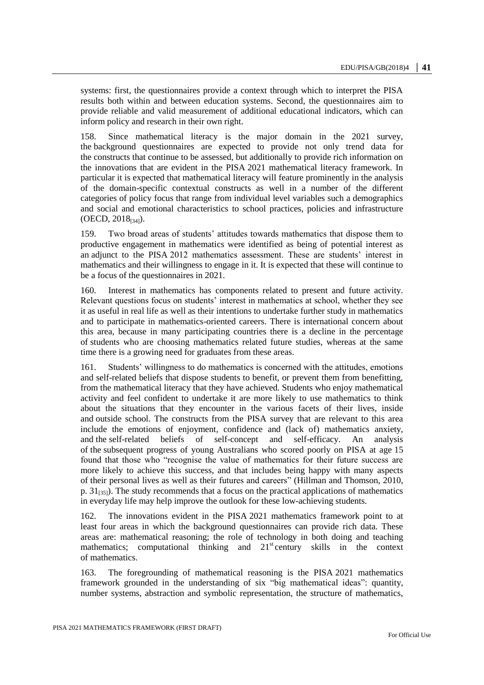systems: first, the questionnaires provide a context through which to interpret the PISA results both within and between education systems. Second, the questionnaires aim to provide reliable and valid measurement of additional educational indicators, which can inform policy and research in their own right.

158. Since mathematical literacy is the major domain in the 2021 survey, the background questionnaires are expected to provide not only trend data for the constructs that continue to be assessed, but additionally to provide rich information on the innovations that are evident in the PISA 2021 mathematical literacy framework. In particular it is expected that mathematical literacy will feature prominently in the analysis of the domain-specific contextual constructs as well in a number of the different categories of policy focus that range from individual level variables such a demographics and social and emotional characteristics to school practices, policies and infrastructure  $(OECD, 2018<sub>[34]</sub>).$ 

159. Two broad areas of students' attitudes towards mathematics that dispose them to productive engagement in mathematics were identified as being of potential interest as an adjunct to the PISA 2012 mathematics assessment. These are students' interest in mathematics and their willingness to engage in it. It is expected that these will continue to be a focus of the questionnaires in 2021.

160. Interest in mathematics has components related to present and future activity. Relevant questions focus on students' interest in mathematics at school, whether they see it as useful in real life as well as their intentions to undertake further study in mathematics and to participate in mathematics-oriented careers. There is international concern about this area, because in many participating countries there is a decline in the percentage of students who are choosing mathematics related future studies, whereas at the same time there is a growing need for graduates from these areas.

161. Students' willingness to do mathematics is concerned with the attitudes, emotions and self-related beliefs that dispose students to benefit, or prevent them from benefitting, from the mathematical literacy that they have achieved. Students who enjoy mathematical activity and feel confident to undertake it are more likely to use mathematics to think about the situations that they encounter in the various facets of their lives, inside and outside school. The constructs from the PISA survey that are relevant to this area include the emotions of enjoyment, confidence and (lack of) mathematics anxiety, and the self-related beliefs of self-concept and self-efficacy. An analysis of the subsequent progress of young Australians who scored poorly on PISA at age 15 found that those who "recognise the value of mathematics for their future success are more likely to achieve this success, and that includes being happy with many aspects of their personal lives as well as their futures and careers" (Hillman and Thomson, 2010, p.  $31_{[35]}$ ). The study recommends that a focus on the practical applications of mathematics in everyday life may help improve the outlook for these low-achieving students.

162. The innovations evident in the PISA 2021 mathematics framework point to at least four areas in which the background questionnaires can provide rich data. These areas are: mathematical reasoning; the role of technology in both doing and teaching mathematics; computational thinking and  $21<sup>st</sup>$  century skills in the context of mathematics.

163. The foregrounding of mathematical reasoning is the PISA 2021 mathematics framework grounded in the understanding of six "big mathematical ideas": quantity, number systems, abstraction and symbolic representation, the structure of mathematics,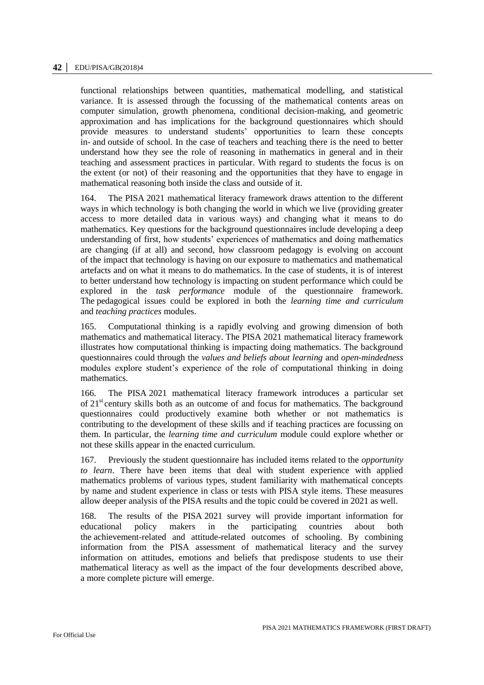functional relationships between quantities, mathematical modelling, and statistical variance. It is assessed through the focussing of the mathematical contents areas on computer simulation, growth phenomena, conditional decision-making, and geometric approximation and has implications for the background questionnaires which should provide measures to understand students' opportunities to learn these concepts in- and outside of school. In the case of teachers and teaching there is the need to better understand how they see the role of reasoning in mathematics in general and in their teaching and assessment practices in particular. With regard to students the focus is on the extent (or not) of their reasoning and the opportunities that they have to engage in mathematical reasoning both inside the class and outside of it.

164. The PISA 2021 mathematical literacy framework draws attention to the different ways in which technology is both changing the world in which we live (providing greater access to more detailed data in various ways) and changing what it means to do mathematics. Key questions for the background questionnaires include developing a deep understanding of first, how students' experiences of mathematics and doing mathematics are changing (if at all) and second, how classroom pedagogy is evolving on account of the impact that technology is having on our exposure to mathematics and mathematical artefacts and on what it means to do mathematics. In the case of students, it is of interest to better understand how technology is impacting on student performance which could be explored in the *task performance* module of the questionnaire framework. The pedagogical issues could be explored in both the *learning time and curriculum* and *teaching practices* modules.

165. Computational thinking is a rapidly evolving and growing dimension of both mathematics and mathematical literacy. The PISA 2021 mathematical literacy framework illustrates how computational thinking is impacting doing mathematics. The background questionnaires could through the *values and beliefs about learning* and *open-mindedness*  modules explore student's experience of the role of computational thinking in doing mathematics.

166. The PISA 2021 mathematical literacy framework introduces a particular set of 21st century skills both as an outcome of and focus for mathematics. The background questionnaires could productively examine both whether or not mathematics is contributing to the development of these skills and if teaching practices are focussing on them. In particular, the *learning time and curriculum* module could explore whether or not these skills appear in the enacted curriculum.

167. Previously the student questionnaire has included items related to the *opportunity to learn*. There have been items that deal with student experience with applied mathematics problems of various types, student familiarity with mathematical concepts by name and student experience in class or tests with PISA style items. These measures allow deeper analysis of the PISA results and the topic could be covered in 2021 as well.

168. The results of the PISA 2021 survey will provide important information for educational policy makers in the participating countries about both the achievement-related and attitude-related outcomes of schooling. By combining information from the PISA assessment of mathematical literacy and the survey information on attitudes, emotions and beliefs that predispose students to use their mathematical literacy as well as the impact of the four developments described above, a more complete picture will emerge.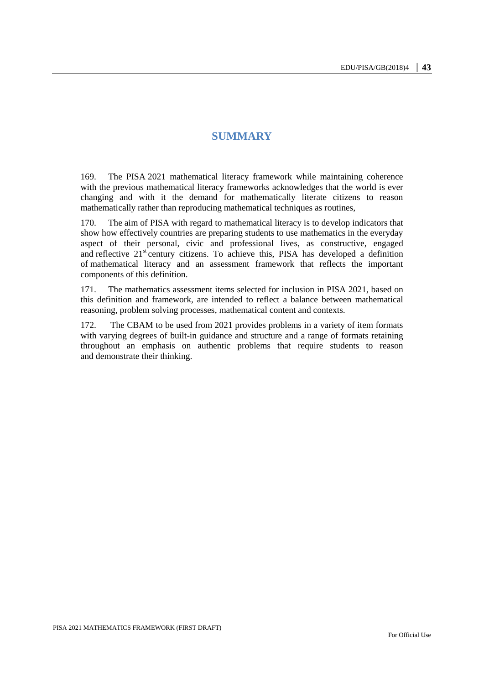## **SUMMARY**

<span id="page-42-0"></span>169. The PISA 2021 mathematical literacy framework while maintaining coherence with the previous mathematical literacy frameworks acknowledges that the world is ever changing and with it the demand for mathematically literate citizens to reason mathematically rather than reproducing mathematical techniques as routines,

170. The aim of PISA with regard to mathematical literacy is to develop indicators that show how effectively countries are preparing students to use mathematics in the everyday aspect of their personal, civic and professional lives, as constructive, engaged and reflective  $21<sup>st</sup>$  century citizens. To achieve this, PISA has developed a definition of mathematical literacy and an assessment framework that reflects the important components of this definition.

171. The mathematics assessment items selected for inclusion in PISA 2021, based on this definition and framework, are intended to reflect a balance between mathematical reasoning, problem solving processes, mathematical content and contexts.

172. The CBAM to be used from 2021 provides problems in a variety of item formats with varying degrees of built-in guidance and structure and a range of formats retaining throughout an emphasis on authentic problems that require students to reason and demonstrate their thinking.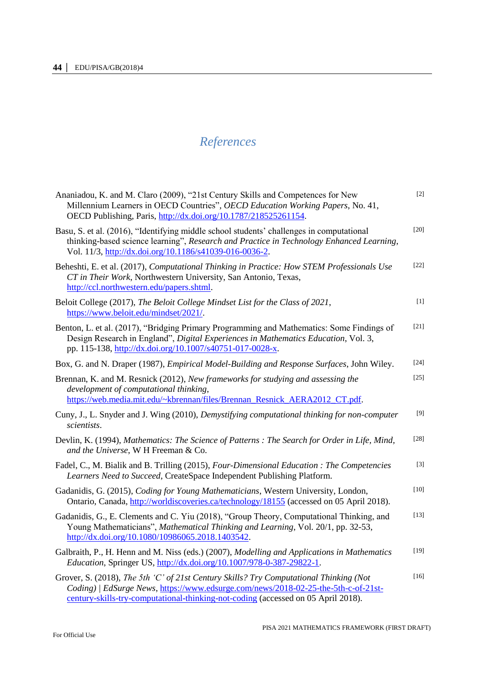## *References*

<span id="page-43-0"></span>

| Ananiadou, K. and M. Claro (2009), "21st Century Skills and Competences for New<br>Millennium Learners in OECD Countries", OECD Education Working Papers, No. 41,<br>OECD Publishing, Paris, http://dx.doi.org/10.1787/218525261154.                              | $[2]$                                                                                                                                                                                                                                                          |
|-------------------------------------------------------------------------------------------------------------------------------------------------------------------------------------------------------------------------------------------------------------------|----------------------------------------------------------------------------------------------------------------------------------------------------------------------------------------------------------------------------------------------------------------|
| Basu, S. et al. (2016), "Identifying middle school students' challenges in computational<br>thinking-based science learning", Research and Practice in Technology Enhanced Learning,<br>Vol. 11/3, http://dx.doi.org/10.1186/s41039-016-0036-2.                   | $[20]$                                                                                                                                                                                                                                                         |
| Beheshti, E. et al. (2017), Computational Thinking in Practice: How STEM Professionals Use<br>CT in Their Work, Northwestern University, San Antonio, Texas,<br>http://ccl.northwestern.edu/papers.shtml.                                                         | $[22]$                                                                                                                                                                                                                                                         |
| Beloit College (2017), The Beloit College Mindset List for the Class of 2021,<br>https://www.beloit.edu/mindset/2021/.                                                                                                                                            | $[1] % \centering \includegraphics[width=0.9\columnwidth]{figures/fig_10.pdf} \caption{The graph $\mathcal{N}_1$ is a function of the number of~\textit{N}_1$ (left) and the number of~\textit{N}_2$ (right) are shown in \cite{N}_1$ (right).} \label{fig:1}$ |
| Benton, L. et al. (2017), "Bridging Primary Programming and Mathematics: Some Findings of<br>Design Research in England", Digital Experiences in Mathematics Education, Vol. 3,<br>pp. 115-138, http://dx.doi.org/10.1007/s40751-017-0028-x.                      | [21]                                                                                                                                                                                                                                                           |
| Box, G. and N. Draper (1987), <i>Empirical Model-Building and Response Surfaces</i> , John Wiley.                                                                                                                                                                 | $[24]$                                                                                                                                                                                                                                                         |
| Brennan, K. and M. Resnick (2012), New frameworks for studying and assessing the<br>development of computational thinking,<br>https://web.media.mit.edu/~kbrennan/files/Brennan Resnick AERA2012 CT.pdf.                                                          | $[25]$                                                                                                                                                                                                                                                         |
| Cuny, J., L. Snyder and J. Wing (2010), Demystifying computational thinking for non-computer<br>scientists.                                                                                                                                                       | $[9]$                                                                                                                                                                                                                                                          |
| Devlin, K. (1994), Mathematics: The Science of Patterns : The Search for Order in Life, Mind,<br>and the Universe, W H Freeman & Co.                                                                                                                              | $[28]$                                                                                                                                                                                                                                                         |
| Fadel, C., M. Bialik and B. Trilling (2015), Four-Dimensional Education : The Competencies<br>Learners Need to Succeed, CreateSpace Independent Publishing Platform.                                                                                              | $[3]$                                                                                                                                                                                                                                                          |
| Gadanidis, G. (2015), Coding for Young Mathematicians, Western University, London,<br>Ontario, Canada, http://worldiscoveries.ca/technology/18155 (accessed on 05 April 2018).                                                                                    | $[10]$                                                                                                                                                                                                                                                         |
| Gadanidis, G., E. Clements and C. Yiu (2018), "Group Theory, Computational Thinking, and<br>Young Mathematicians", Mathematical Thinking and Learning, Vol. 20/1, pp. 32-53,<br>http://dx.doi.org/10.1080/10986065.2018.1403542.                                  | $[13]$                                                                                                                                                                                                                                                         |
| Galbraith, P., H. Henn and M. Niss (eds.) (2007), Modelling and Applications in Mathematics<br>Education, Springer US, http://dx.doi.org/10.1007/978-0-387-29822-1.                                                                                               | $[19]$                                                                                                                                                                                                                                                         |
| Grover, S. (2018), The 5th 'C' of 21st Century Skills? Try Computational Thinking (Not<br>Coding) / EdSurge News, https://www.edsurge.com/news/2018-02-25-the-5th-c-of-21st-<br>century-skills-try-computational-thinking-not-coding (accessed on 05 April 2018). | $[16]$                                                                                                                                                                                                                                                         |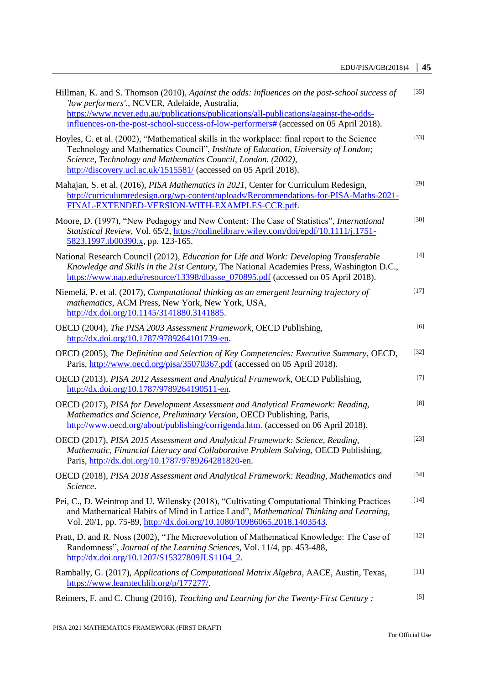| Hillman, K. and S. Thomson (2010), Against the odds: influences on the post-school success of<br>'low performers'., NCVER, Adelaide, Australia,<br>https://www.ncver.edu.au/publications/publications/all-publications/against-the-odds-<br>influences-on-the-post-school-success-of-low-performers# (accessed on 05 April 2018). | $[35]$                                                                                                                                                                                                                                                                                                                                                                                                                                                                                                            |
|-----------------------------------------------------------------------------------------------------------------------------------------------------------------------------------------------------------------------------------------------------------------------------------------------------------------------------------|-------------------------------------------------------------------------------------------------------------------------------------------------------------------------------------------------------------------------------------------------------------------------------------------------------------------------------------------------------------------------------------------------------------------------------------------------------------------------------------------------------------------|
| Hoyles, C. et al. (2002), "Mathematical skills in the workplace: final report to the Science<br>Technology and Mathematics Council", Institute of Education, University of London;<br>Science, Technology and Mathematics Council, London. (2002),<br>http://discovery.ucl.ac.uk/1515581/ (accessed on 05 April 2018).            | $[33]$                                                                                                                                                                                                                                                                                                                                                                                                                                                                                                            |
| Mahajan, S. et al. (2016), PISA Mathematics in 2021, Center for Curriculum Redesign,<br>http://curriculumredesign.org/wp-content/uploads/Recommendations-for-PISA-Maths-2021-<br>FINAL-EXTENDED-VERSION-WITH-EXAMPLES-CCR.pdf.                                                                                                    | $[29]$                                                                                                                                                                                                                                                                                                                                                                                                                                                                                                            |
| Moore, D. (1997), "New Pedagogy and New Content: The Case of Statistics", <i>International</i><br>Statistical Review, Vol. 65/2, https://onlinelibrary.wiley.com/doi/epdf/10.1111/j.1751-<br>5823.1997.tb00390.x, pp. 123-165.                                                                                                    | $[30]$                                                                                                                                                                                                                                                                                                                                                                                                                                                                                                            |
| National Research Council (2012), Education for Life and Work: Developing Transferable<br>Knowledge and Skills in the 21st Century, The National Academies Press, Washington D.C.,<br>https://www.nap.edu/resource/13398/dbasse_070895.pdf (accessed on 05 April 2018).                                                           | $[4]$                                                                                                                                                                                                                                                                                                                                                                                                                                                                                                             |
| Niemelä, P. et al. (2017), Computational thinking as an emergent learning trajectory of<br>mathematics, ACM Press, New York, New York, USA,<br>http://dx.doi.org/10.1145/3141880.3141885.                                                                                                                                         | $[17]$                                                                                                                                                                                                                                                                                                                                                                                                                                                                                                            |
| OECD (2004), The PISA 2003 Assessment Framework, OECD Publishing,<br>http://dx.doi.org/10.1787/9789264101739-en.                                                                                                                                                                                                                  | $[6]$                                                                                                                                                                                                                                                                                                                                                                                                                                                                                                             |
| OECD (2005), The Definition and Selection of Key Competencies: Executive Summary, OECD,<br>Paris, http://www.oecd.org/pisa/35070367.pdf (accessed on 05 April 2018).                                                                                                                                                              | $[32]$                                                                                                                                                                                                                                                                                                                                                                                                                                                                                                            |
| OECD (2013), PISA 2012 Assessment and Analytical Framework, OECD Publishing,<br>http://dx.doi.org/10.1787/9789264190511-en.                                                                                                                                                                                                       | $[7] \centering% \includegraphics[width=1\textwidth]{images/TransY.pdf} \caption{The first two different values of $d=3$ and $d=4$ (left) and the second term (right) of $d=4$ (right) and $d=4$ (right) and $d=4$ (right) and $d=4$ (right) and $d=4$ (right) and $d=4$ (right) and $d=4$ (right) and $d=4$ (right) and $d=4$ (right) and $d=4$ (right) and $d=4$ (right) and $d=4$ (right) and $d=4$ (right) and $d=4$ (right) and $d=4$ (right) and $d=4$ (right) and $d=4$ (right) and $d=4$ (right) and $d=$ |
| OECD (2017), PISA for Development Assessment and Analytical Framework: Reading,<br>Mathematics and Science, Preliminary Version, OECD Publishing, Paris,<br>http://www.oecd.org/about/publishing/corrigenda.htm. (accessed on 06 April 2018).                                                                                     | $\left[ 8\right]$                                                                                                                                                                                                                                                                                                                                                                                                                                                                                                 |
| OECD (2017), PISA 2015 Assessment and Analytical Framework: Science, Reading,<br>Mathematic, Financial Literacy and Collaborative Problem Solving, OECD Publishing,<br>Paris, http://dx.doi.org/10.1787/9789264281820-en.                                                                                                         | $[23]$                                                                                                                                                                                                                                                                                                                                                                                                                                                                                                            |
| OECD (2018), PISA 2018 Assessment and Analytical Framework: Reading, Mathematics and<br>Science.                                                                                                                                                                                                                                  | $[34]$                                                                                                                                                                                                                                                                                                                                                                                                                                                                                                            |
| Pei, C., D. Weintrop and U. Wilensky (2018), "Cultivating Computational Thinking Practices<br>and Mathematical Habits of Mind in Lattice Land", Mathematical Thinking and Learning,<br>Vol. 20/1, pp. 75-89, http://dx.doi.org/10.1080/10986065.2018.1403543.                                                                     | $[14]$                                                                                                                                                                                                                                                                                                                                                                                                                                                                                                            |
| Pratt, D. and R. Noss (2002), "The Microevolution of Mathematical Knowledge: The Case of<br>Randomness", Journal of the Learning Sciences, Vol. 11/4, pp. 453-488,<br>http://dx.doi.org/10.1207/S15327809JLS1104_2.                                                                                                               | $[12]$                                                                                                                                                                                                                                                                                                                                                                                                                                                                                                            |
| Rambally, G. (2017), Applications of Computational Matrix Algebra, AACE, Austin, Texas,<br>https://www.learntechlib.org/p/177277/.                                                                                                                                                                                                | $[11]$                                                                                                                                                                                                                                                                                                                                                                                                                                                                                                            |
| Reimers, F. and C. Chung (2016), Teaching and Learning for the Twenty-First Century:                                                                                                                                                                                                                                              | $[5]$                                                                                                                                                                                                                                                                                                                                                                                                                                                                                                             |